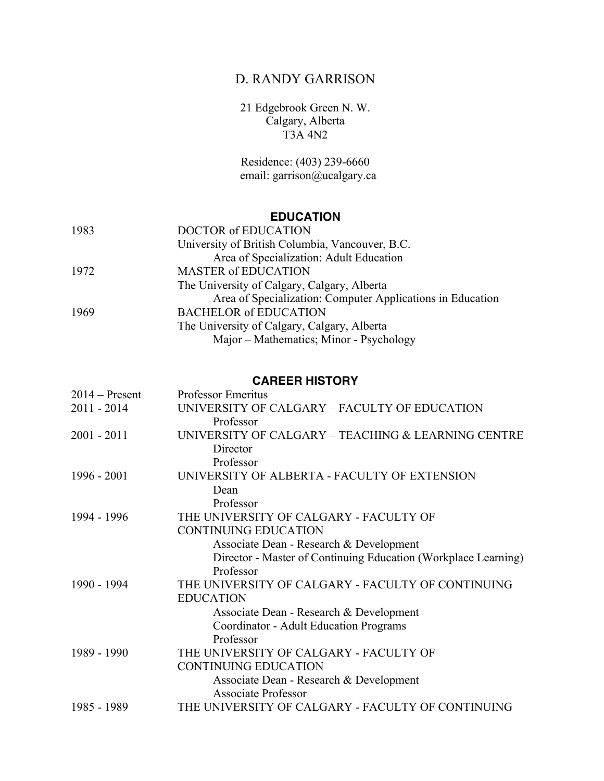# D. RANDY GARRISON

21 Edgebrook Green N. W. Calgary, Alberta T3A 4N2

Residence: (403) 239-6660 email: garrison@ucalgary.ca

## **EDUCATION**

| 1983 | <b>DOCTOR of EDUCATION</b>                                 |
|------|------------------------------------------------------------|
|      | University of British Columbia, Vancouver, B.C.            |
|      | Area of Specialization: Adult Education                    |
| 1972 | <b>MASTER of EDUCATION</b>                                 |
|      | The University of Calgary, Calgary, Alberta                |
|      | Area of Specialization: Computer Applications in Education |
| 1969 | <b>BACHELOR of EDUCATION</b>                               |
|      | The University of Calgary, Calgary, Alberta                |
|      | Major – Mathematics; Minor - Psychology                    |

## **CAREER HISTORY**

| $2014 -$ Present | Professor Emeritus                                             |
|------------------|----------------------------------------------------------------|
| $2011 - 2014$    | UNIVERSITY OF CALGARY – FACULTY OF EDUCATION                   |
|                  | Professor                                                      |
| $2001 - 2011$    | UNIVERSITY OF CALGARY - TEACHING & LEARNING CENTRE             |
|                  | Director                                                       |
|                  | Professor                                                      |
| 1996 - 2001      | UNIVERSITY OF ALBERTA - FACULTY OF EXTENSION                   |
|                  | Dean                                                           |
|                  | Professor                                                      |
| 1994 - 1996      | THE UNIVERSITY OF CALGARY - FACULTY OF                         |
|                  | <b>CONTINUING EDUCATION</b>                                    |
|                  | Associate Dean - Research & Development                        |
|                  | Director - Master of Continuing Education (Workplace Learning) |
|                  | Professor                                                      |
| 1990 - 1994      | THE UNIVERSITY OF CALGARY - FACULTY OF CONTINUING              |
|                  | <b>EDUCATION</b>                                               |
|                  | Associate Dean - Research & Development                        |
|                  | Coordinator - Adult Education Programs                         |
|                  | Professor                                                      |
| 1989 - 1990      | THE UNIVERSITY OF CALGARY - FACULTY OF                         |
|                  | <b>CONTINUING EDUCATION</b>                                    |
|                  | Associate Dean - Research & Development                        |
|                  | <b>Associate Professor</b>                                     |
| 1985 - 1989      | THE UNIVERSITY OF CALGARY - FACULTY OF CONTINUING              |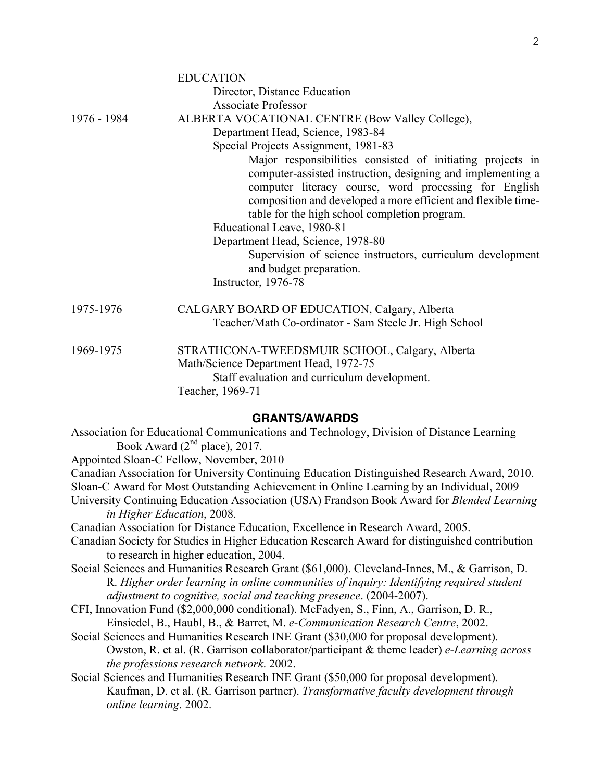|             | <b>EDUCATION</b>                                              |
|-------------|---------------------------------------------------------------|
|             | Director, Distance Education                                  |
|             | <b>Associate Professor</b>                                    |
| 1976 - 1984 | ALBERTA VOCATIONAL CENTRE (Bow Valley College),               |
|             | Department Head, Science, 1983-84                             |
|             | Special Projects Assignment, 1981-83                          |
|             | Major responsibilities consisted of initiating projects in    |
|             | computer-assisted instruction, designing and implementing a   |
|             | computer literacy course, word processing for English         |
|             | composition and developed a more efficient and flexible time- |
|             | table for the high school completion program.                 |
|             | Educational Leave, 1980-81                                    |
|             | Department Head, Science, 1978-80                             |
|             | Supervision of science instructors, curriculum development    |
|             | and budget preparation.                                       |
|             | Instructor, 1976-78                                           |
|             |                                                               |
| 1975-1976   | CALGARY BOARD OF EDUCATION, Calgary, Alberta                  |
|             | Teacher/Math Co-ordinator - Sam Steele Jr. High School        |
| 1969-1975   | STRATHCONA-TWEEDSMUIR SCHOOL, Calgary, Alberta                |
|             | Math/Science Department Head, 1972-75                         |
|             | Staff evaluation and curriculum development.                  |
|             | Teacher, 1969-71                                              |
|             |                                                               |
|             |                                                               |

## **GRANTS/AWARDS**

| Association for Educational Communications and Technology, Division of Distance Learning<br>Book Award $(2^{nd}$ place), 2017.                                 |  |  |
|----------------------------------------------------------------------------------------------------------------------------------------------------------------|--|--|
| Appointed Sloan-C Fellow, November, 2010                                                                                                                       |  |  |
| Canadian Association for University Continuing Education Distinguished Research Award, 2010.                                                                   |  |  |
| Sloan-C Award for Most Outstanding Achievement in Online Learning by an Individual, 2009                                                                       |  |  |
| University Continuing Education Association (USA) Frandson Book Award for <i>Blended Learning</i>                                                              |  |  |
| in Higher Education, 2008.                                                                                                                                     |  |  |
| Canadian Association for Distance Education, Excellence in Research Award, 2005.                                                                               |  |  |
| Canadian Society for Studies in Higher Education Research Award for distinguished contribution                                                                 |  |  |
| to research in higher education, 2004.                                                                                                                         |  |  |
| Social Sciences and Humanities Research Grant (\$61,000). Cleveland-Innes, M., & Garrison, D.                                                                  |  |  |
| R. Higher order learning in online communities of inquiry: Identifying required student<br>adjustment to cognitive, social and teaching presence. (2004-2007). |  |  |
| CFI, Innovation Fund (\$2,000,000 conditional). McFadyen, S., Finn, A., Garrison, D. R.,                                                                       |  |  |
| Einsiedel, B., Haubl, B., & Barret, M. e-Communication Research Centre, 2002.                                                                                  |  |  |
| Social Sciences and Humanities Research INE Grant (\$30,000 for proposal development).                                                                         |  |  |
| Owston, R. et al. (R. Garrison collaborator/participant & theme leader) e-Learning across<br>the professions research network. 2002.                           |  |  |
| Social Sciences and Humanities Research INE Grant (\$50,000 for proposal development).                                                                         |  |  |
| Kaufman, D. et al. (R. Garrison partner). Transformative faculty development through                                                                           |  |  |
| online learning. 2002.                                                                                                                                         |  |  |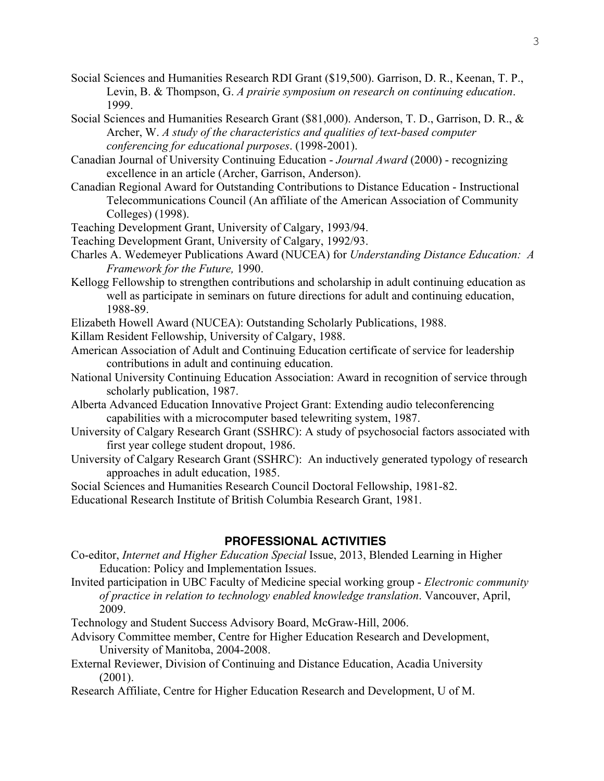- Social Sciences and Humanities Research RDI Grant (\$19,500). Garrison, D. R., Keenan, T. P., Levin, B. & Thompson, G. *A prairie symposium on research on continuing education*. 1999.
- Social Sciences and Humanities Research Grant (\$81,000). Anderson, T. D., Garrison, D. R., & Archer, W. *A study of the characteristics and qualities of text-based computer conferencing for educational purposes*. (1998-2001).
- Canadian Journal of University Continuing Education *Journal Award* (2000) recognizing excellence in an article (Archer, Garrison, Anderson).
- Canadian Regional Award for Outstanding Contributions to Distance Education Instructional Telecommunications Council (An affiliate of the American Association of Community Colleges) (1998).
- Teaching Development Grant, University of Calgary, 1993/94.
- Teaching Development Grant, University of Calgary, 1992/93.
- Charles A. Wedemeyer Publications Award (NUCEA) for *Understanding Distance Education: A Framework for the Future,* 1990.
- Kellogg Fellowship to strengthen contributions and scholarship in adult continuing education as well as participate in seminars on future directions for adult and continuing education, 1988-89.
- Elizabeth Howell Award (NUCEA): Outstanding Scholarly Publications, 1988.
- Killam Resident Fellowship, University of Calgary, 1988.
- American Association of Adult and Continuing Education certificate of service for leadership contributions in adult and continuing education.
- National University Continuing Education Association: Award in recognition of service through scholarly publication, 1987.
- Alberta Advanced Education Innovative Project Grant: Extending audio teleconferencing capabilities with a microcomputer based telewriting system, 1987.
- University of Calgary Research Grant (SSHRC): A study of psychosocial factors associated with first year college student dropout, 1986.
- University of Calgary Research Grant (SSHRC): An inductively generated typology of research approaches in adult education, 1985.
- Social Sciences and Humanities Research Council Doctoral Fellowship, 1981-82.

Educational Research Institute of British Columbia Research Grant, 1981.

### **PROFESSIONAL ACTIVITIES**

- Co-editor, *Internet and Higher Education Special* Issue, 2013, Blended Learning in Higher Education: Policy and Implementation Issues.
- Invited participation in UBC Faculty of Medicine special working group *Electronic community of practice in relation to technology enabled knowledge translation*. Vancouver, April, 2009.
- Technology and Student Success Advisory Board, McGraw-Hill, 2006.
- Advisory Committee member, Centre for Higher Education Research and Development, University of Manitoba, 2004-2008.
- External Reviewer, Division of Continuing and Distance Education, Acadia University (2001).
- Research Affiliate, Centre for Higher Education Research and Development, U of M.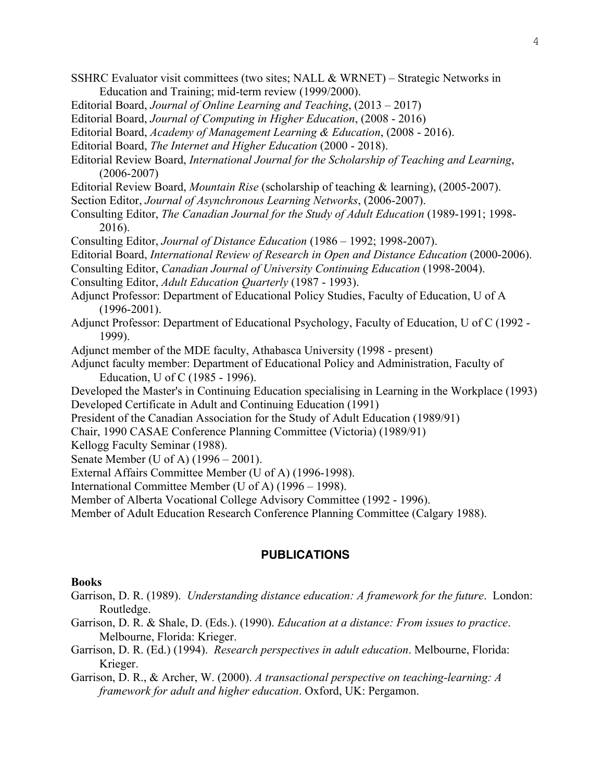- SSHRC Evaluator visit committees (two sites; NALL & WRNET) Strategic Networks in Education and Training; mid-term review (1999/2000).
- Editorial Board, *Journal of Online Learning and Teaching*, (2013 2017)
- Editorial Board, *Journal of Computing in Higher Education*, (2008 2016)
- Editorial Board, *Academy of Management Learning & Education*, (2008 2016).
- Editorial Board, *The Internet and Higher Education* (2000 2018).
- Editorial Review Board, *International Journal for the Scholarship of Teaching and Learning*, (2006-2007)
- Editorial Review Board, *Mountain Rise* (scholarship of teaching & learning), (2005-2007).
- Section Editor, *Journal of Asynchronous Learning Networks*, (2006-2007).
- Consulting Editor, *The Canadian Journal for the Study of Adult Education* (1989-1991; 1998- 2016).
- Consulting Editor, *Journal of Distance Education* (1986 1992; 1998-2007).
- Editorial Board, *International Review of Research in Open and Distance Education* (2000-2006).
- Consulting Editor, *Canadian Journal of University Continuing Education* (1998-2004).
- Consulting Editor, *Adult Education Quarterly* (1987 1993).
- Adjunct Professor: Department of Educational Policy Studies, Faculty of Education, U of A (1996-2001).
- Adjunct Professor: Department of Educational Psychology, Faculty of Education, U of C (1992 1999).
- Adjunct member of the MDE faculty, Athabasca University (1998 present)
- Adjunct faculty member: Department of Educational Policy and Administration, Faculty of Education, U of C (1985 - 1996).
- Developed the Master's in Continuing Education specialising in Learning in the Workplace (1993) Developed Certificate in Adult and Continuing Education (1991)
- President of the Canadian Association for the Study of Adult Education (1989/91)
- Chair, 1990 CASAE Conference Planning Committee (Victoria) (1989/91)
- Kellogg Faculty Seminar (1988).
- Senate Member (U of A) (1996 2001).
- External Affairs Committee Member (U of A) (1996-1998).
- International Committee Member (U of A) (1996 1998).
- Member of Alberta Vocational College Advisory Committee (1992 1996).
- Member of Adult Education Research Conference Planning Committee (Calgary 1988).

#### **PUBLICATIONS**

#### **Books**

- Garrison, D. R. (1989). *Understanding distance education: A framework for the future*. London: Routledge.
- Garrison, D. R. & Shale, D. (Eds.). (1990). *Education at a distance: From issues to practice*. Melbourne, Florida: Krieger.
- Garrison, D. R. (Ed.) (1994). *Research perspectives in adult education*. Melbourne, Florida: Krieger.
- Garrison, D. R., & Archer, W. (2000). *A transactional perspective on teaching-learning: A framework for adult and higher education*. Oxford, UK: Pergamon.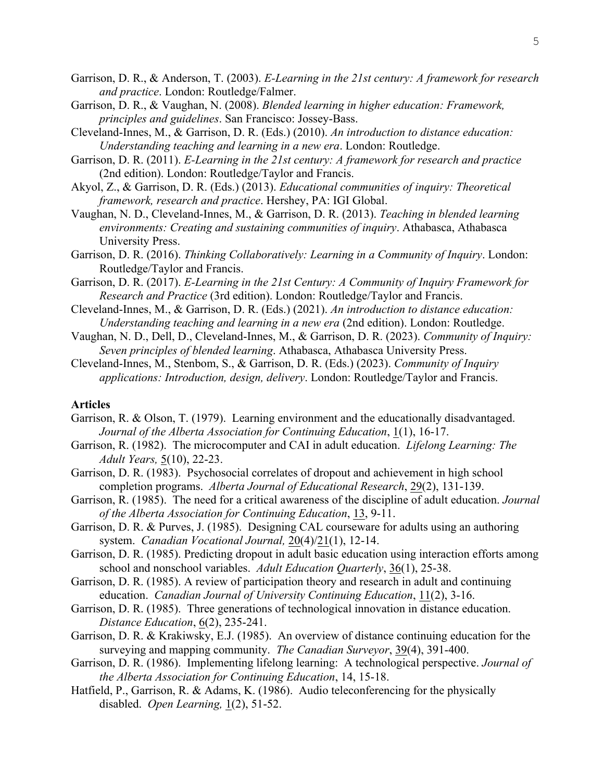- Garrison, D. R., & Anderson, T. (2003). *E-Learning in the 21st century: A framework for research and practice*. London: Routledge/Falmer.
- Garrison, D. R., & Vaughan, N. (2008). *Blended learning in higher education: Framework, principles and guidelines*. San Francisco: Jossey-Bass.
- Cleveland-Innes, M., & Garrison, D. R. (Eds.) (2010). *An introduction to distance education: Understanding teaching and learning in a new era*. London: Routledge.
- Garrison, D. R. (2011). *E-Learning in the 21st century: A framework for research and practice* (2nd edition). London: Routledge/Taylor and Francis.
- Akyol, Z., & Garrison, D. R. (Eds.) (2013). *Educational communities of inquiry: Theoretical framework, research and practice*. Hershey, PA: IGI Global.
- Vaughan, N. D., Cleveland-Innes, M., & Garrison, D. R. (2013). *Teaching in blended learning environments: Creating and sustaining communities of inquiry*. Athabasca, Athabasca University Press.
- Garrison, D. R. (2016). *Thinking Collaboratively: Learning in a Community of Inquiry*. London: Routledge/Taylor and Francis.
- Garrison, D. R. (2017). *E-Learning in the 21st Century: A Community of Inquiry Framework for Research and Practice* (3rd edition). London: Routledge/Taylor and Francis.
- Cleveland-Innes, M., & Garrison, D. R. (Eds.) (2021). *An introduction to distance education: Understanding teaching and learning in a new era* (2nd edition). London: Routledge.
- Vaughan, N. D., Dell, D., Cleveland-Innes, M., & Garrison, D. R. (2023). *Community of Inquiry: Seven principles of blended learning*. Athabasca, Athabasca University Press.
- Cleveland-Innes, M., Stenbom, S., & Garrison, D. R. (Eds.) (2023). *Community of Inquiry applications: Introduction, design, delivery*. London: Routledge/Taylor and Francis.

### **Articles**

- Garrison, R. & Olson, T. (1979). Learning environment and the educationally disadvantaged. *Journal of the Alberta Association for Continuing Education*, 1(1), 16-17.
- Garrison, R. (1982). The microcomputer and CAI in adult education. *Lifelong Learning: The Adult Years,* 5(10), 22-23.
- Garrison, D. R. (1983). Psychosocial correlates of dropout and achievement in high school completion programs. *Alberta Journal of Educational Research*, 29(2), 131-139.
- Garrison, R. (1985).The need for a critical awareness of the discipline of adult education. *Journal of the Alberta Association for Continuing Education*, 13, 9-11.
- Garrison, D. R. & Purves, J. (1985). Designing CAL courseware for adults using an authoring system. *Canadian Vocational Journal,* 20(4)/21(1), 12-14.
- Garrison, D. R. (1985). Predicting dropout in adult basic education using interaction efforts among school and nonschool variables. *Adult Education Quarterly*, 36(1), 25-38.
- Garrison, D. R. (1985). A review of participation theory and research in adult and continuing education. *Canadian Journal of University Continuing Education*, 11(2), 3-16.
- Garrison, D. R. (1985). Three generations of technological innovation in distance education. *Distance Education*, 6(2), 235-241.
- Garrison, D. R. & Krakiwsky, E.J. (1985). An overview of distance continuing education for the surveying and mapping community. *The Canadian Surveyor*, 39(4), 391-400.
- Garrison, D. R. (1986). Implementing lifelong learning: A technological perspective. *Journal of the Alberta Association for Continuing Education*, 14, 15-18.
- Hatfield, P., Garrison, R. & Adams, K. (1986). Audio teleconferencing for the physically disabled. *Open Learning,* 1(2), 51-52.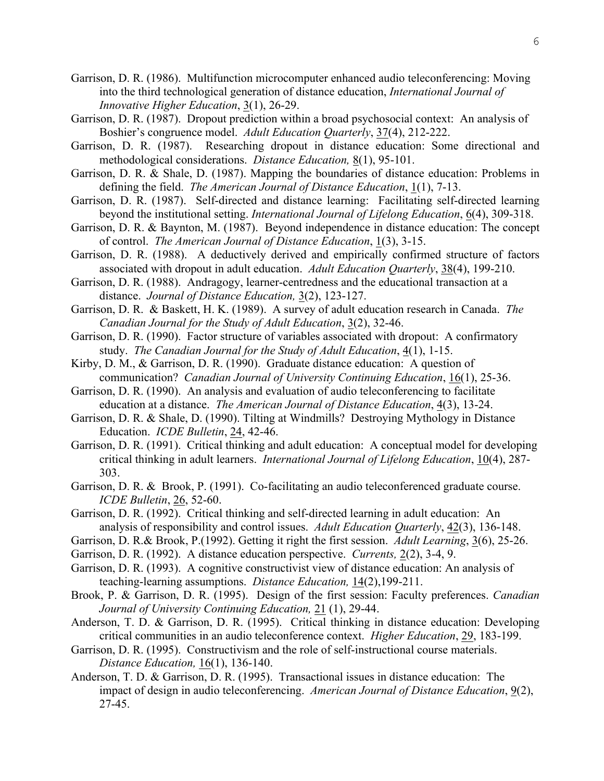- Garrison, D. R. (1986). Multifunction microcomputer enhanced audio teleconferencing: Moving into the third technological generation of distance education, *International Journal of Innovative Higher Education*, 3(1), 26-29.
- Garrison, D. R. (1987). Dropout prediction within a broad psychosocial context: An analysis of Boshier's congruence model. *Adult Education Quarterly*, 37(4), 212-222.
- Garrison, D. R. (1987). Researching dropout in distance education: Some directional and methodological considerations. *Distance Education,* 8(1), 95-101.
- Garrison, D. R. & Shale, D. (1987). Mapping the boundaries of distance education: Problems in defining the field. *The American Journal of Distance Education*, 1(1), 7-13.
- Garrison, D. R. (1987). Self-directed and distance learning: Facilitating self-directed learning beyond the institutional setting. *International Journal of Lifelong Education*, 6(4), 309-318.
- Garrison, D. R. & Baynton, M. (1987). Beyond independence in distance education: The concept of control. *The American Journal of Distance Education*, 1(3), 3-15.
- Garrison, D. R. (1988). A deductively derived and empirically confirmed structure of factors associated with dropout in adult education. *Adult Education Quarterly*, 38(4), 199-210.
- Garrison, D. R. (1988). Andragogy, learner-centredness and the educational transaction at a distance. *Journal of Distance Education,* 3(2), 123-127.
- Garrison, D. R. & Baskett, H. K. (1989). A survey of adult education research in Canada. *The Canadian Journal for the Study of Adult Education*, 3(2), 32-46.
- Garrison, D. R. (1990). Factor structure of variables associated with dropout: A confirmatory study. *The Canadian Journal for the Study of Adult Education*, 4(1), 1-15.
- Kirby, D. M., & Garrison, D. R. (1990). Graduate distance education: A question of communication? *Canadian Journal of University Continuing Education*, 16(1), 25-36.
- Garrison, D. R. (1990). An analysis and evaluation of audio teleconferencing to facilitate education at a distance. *The American Journal of Distance Education*, 4(3), 13-24.
- Garrison, D. R. & Shale, D. (1990). Tilting at Windmills? Destroying Mythology in Distance Education. *ICDE Bulletin*, 24, 42-46.
- Garrison, D. R. (1991). Critical thinking and adult education: A conceptual model for developing critical thinking in adult learners. *International Journal of Lifelong Education*, 10(4), 287- 303.
- Garrison, D. R. & Brook, P. (1991). Co-facilitating an audio teleconferenced graduate course. *ICDE Bulletin*, 26, 52-60.
- Garrison, D. R. (1992). Critical thinking and self-directed learning in adult education: An analysis of responsibility and control issues. *Adult Education Quarterly*, 42(3), 136-148.
- Garrison, D. R.& Brook, P.(1992). Getting it right the first session. *Adult Learning*, 3(6), 25-26.
- Garrison, D. R. (1992). A distance education perspective. *Currents,* 2(2), 3-4, 9.
- Garrison, D. R. (1993). A cognitive constructivist view of distance education: An analysis of teaching-learning assumptions. *Distance Education,* 14(2),199-211.
- Brook, P. & Garrison, D. R. (1995). Design of the first session: Faculty preferences. *Canadian Journal of University Continuing Education,* 21 (1), 29-44.
- Anderson, T. D. & Garrison, D. R. (1995). Critical thinking in distance education: Developing critical communities in an audio teleconference context. *Higher Education*, 29, 183-199.
- Garrison, D. R. (1995). Constructivism and the role of self-instructional course materials. *Distance Education,* 16(1), 136-140.
- Anderson, T. D. & Garrison, D. R. (1995). Transactional issues in distance education: The impact of design in audio teleconferencing. *American Journal of Distance Education*, 9(2), 27-45.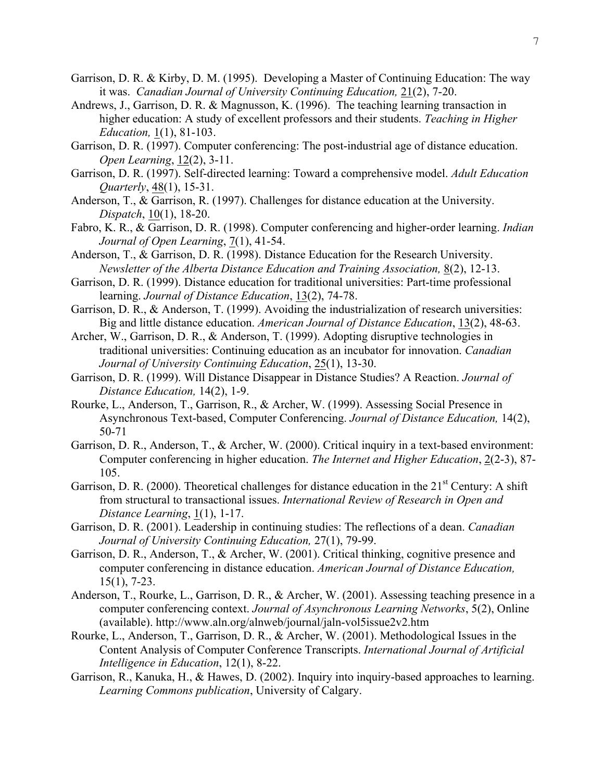- Garrison, D. R. & Kirby, D. M. (1995). Developing a Master of Continuing Education: The way it was. *Canadian Journal of University Continuing Education,* 21(2), 7-20.
- Andrews, J., Garrison, D. R. & Magnusson, K. (1996). The teaching learning transaction in higher education: A study of excellent professors and their students. *Teaching in Higher Education,* 1(1), 81-103.
- Garrison, D. R. (1997). Computer conferencing: The post-industrial age of distance education. *Open Learning*, 12(2), 3-11.
- Garrison, D. R. (1997). Self-directed learning: Toward a comprehensive model. *Adult Education Quarterly*, 48(1), 15-31.
- Anderson, T., & Garrison, R. (1997). Challenges for distance education at the University. *Dispatch*, 10(1), 18-20.
- Fabro, K. R., & Garrison, D. R. (1998). Computer conferencing and higher-order learning. *Indian Journal of Open Learning*, 7(1), 41-54.
- Anderson, T., & Garrison, D. R. (1998). Distance Education for the Research University. *Newsletter of the Alberta Distance Education and Training Association,* 8(2), 12-13.
- Garrison, D. R. (1999). Distance education for traditional universities: Part-time professional learning. *Journal of Distance Education*, 13(2), 74-78.
- Garrison, D. R., & Anderson, T. (1999). Avoiding the industrialization of research universities: Big and little distance education. *American Journal of Distance Education*, 13(2), 48-63.
- Archer, W., Garrison, D. R., & Anderson, T. (1999). Adopting disruptive technologies in traditional universities: Continuing education as an incubator for innovation. *Canadian Journal of University Continuing Education*, 25(1), 13-30.
- Garrison, D. R. (1999). Will Distance Disappear in Distance Studies? A Reaction. *Journal of Distance Education,* 14(2), 1-9.
- Rourke, L., Anderson, T., Garrison, R., & Archer, W. (1999). Assessing Social Presence in Asynchronous Text-based, Computer Conferencing. *Journal of Distance Education,* 14(2), 50-71
- Garrison, D. R., Anderson, T., & Archer, W. (2000). Critical inquiry in a text-based environment: Computer conferencing in higher education. *The Internet and Higher Education*, 2(2-3), 87- 105.
- Garrison, D. R. (2000). Theoretical challenges for distance education in the  $21<sup>st</sup>$  Century: A shift from structural to transactional issues. *International Review of Research in Open and Distance Learning*, 1(1), 1-17.
- Garrison, D. R. (2001). Leadership in continuing studies: The reflections of a dean. *Canadian Journal of University Continuing Education,* 27(1), 79-99.
- Garrison, D. R., Anderson, T., & Archer, W. (2001). Critical thinking, cognitive presence and computer conferencing in distance education. *American Journal of Distance Education,*  15(1), 7-23.
- Anderson, T., Rourke, L., Garrison, D. R., & Archer, W. (2001). Assessing teaching presence in a computer conferencing context. *Journal of Asynchronous Learning Networks*, 5(2), Online (available). http://www.aln.org/alnweb/journal/jaln-vol5issue2v2.htm
- Rourke, L., Anderson, T., Garrison, D. R., & Archer, W. (2001). Methodological Issues in the Content Analysis of Computer Conference Transcripts. *International Journal of Artificial Intelligence in Education*, 12(1), 8-22.
- Garrison, R., Kanuka, H., & Hawes, D. (2002). Inquiry into inquiry-based approaches to learning. *Learning Commons publication*, University of Calgary.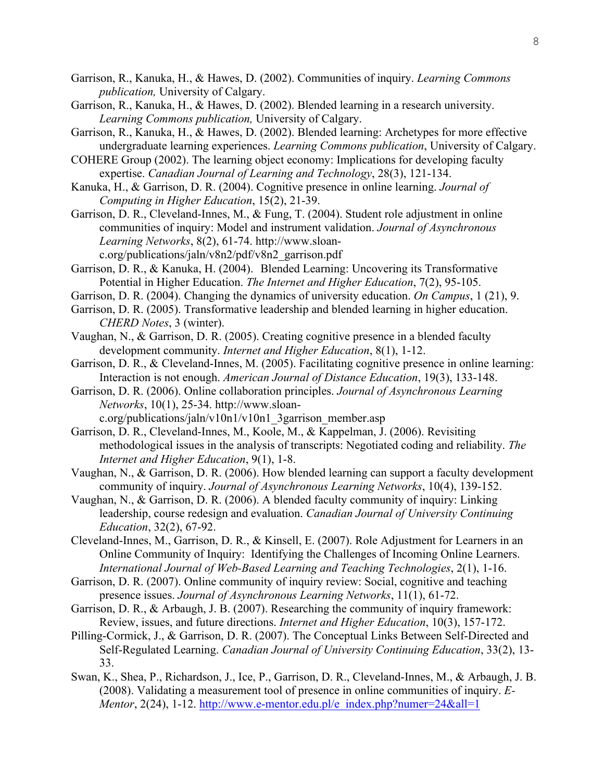- Garrison, R., Kanuka, H., & Hawes, D. (2002). Communities of inquiry. *Learning Commons publication,* University of Calgary.
- Garrison, R., Kanuka, H., & Hawes, D. (2002). Blended learning in a research university. *Learning Commons publication,* University of Calgary.
- Garrison, R., Kanuka, H., & Hawes, D. (2002). Blended learning: Archetypes for more effective undergraduate learning experiences. *Learning Commons publication*, University of Calgary.
- COHERE Group (2002). The learning object economy: Implications for developing faculty expertise. *Canadian Journal of Learning and Technology*, 28(3), 121-134.
- Kanuka, H., & Garrison, D. R. (2004). Cognitive presence in online learning. *Journal of Computing in Higher Education*, 15(2), 21-39.
- Garrison, D. R., Cleveland-Innes, M., & Fung, T. (2004). Student role adjustment in online communities of inquiry: Model and instrument validation. *Journal of Asynchronous Learning Networks*, 8(2), 61-74. http://www.sloanc.org/publications/jaln/v8n2/pdf/v8n2\_garrison.pdf
- Garrison, D. R., & Kanuka, H. (2004). Blended Learning: Uncovering its Transformative Potential in Higher Education. *The Internet and Higher Education*, 7(2), 95-105.
- Garrison, D. R. (2004). Changing the dynamics of university education. *On Campus*, 1 (21), 9.
- Garrison, D. R. (2005). Transformative leadership and blended learning in higher education. *CHERD Notes*, 3 (winter).
- Vaughan, N., & Garrison, D. R. (2005). Creating cognitive presence in a blended faculty development community. *Internet and Higher Education*, 8(1), 1-12.
- Garrison, D. R., & Cleveland-Innes, M. (2005). Facilitating cognitive presence in online learning: Interaction is not enough. *American Journal of Distance Education*, 19(3), 133-148.
- Garrison, D. R. (2006). Online collaboration principles. *Journal of Asynchronous Learning Networks*, 10(1), 25-34. http://www.sloan
	- c.org/publications/jaln/v10n1/v10n1\_3garrison\_member.asp
- Garrison, D. R., Cleveland-Innes, M., Koole, M., & Kappelman, J. (2006). Revisiting methodological issues in the analysis of transcripts: Negotiated coding and reliability. *The Internet and Higher Education*, 9(1), 1-8.
- Vaughan, N., & Garrison, D. R. (2006). How blended learning can support a faculty development community of inquiry. *Journal of Asynchronous Learning Networks*, 10(4), 139-152.
- Vaughan, N., & Garrison, D. R. (2006). A blended faculty community of inquiry: Linking leadership, course redesign and evaluation. *Canadian Journal of University Continuing Education*, 32(2), 67-92.
- Cleveland-Innes, M., Garrison, D. R., & Kinsell, E. (2007). Role Adjustment for Learners in an Online Community of Inquiry: Identifying the Challenges of Incoming Online Learners. *International Journal of Web-Based Learning and Teaching Technologies*, 2(1), 1-16.
- Garrison, D. R. (2007). Online community of inquiry review: Social, cognitive and teaching presence issues. *Journal of Asynchronous Learning Networks*, 11(1), 61-72.
- Garrison, D. R., & Arbaugh, J. B. (2007). Researching the community of inquiry framework: Review, issues, and future directions. *Internet and Higher Education*, 10(3), 157-172.
- Pilling-Cormick, J., & Garrison, D. R. (2007). The Conceptual Links Between Self-Directed and Self-Regulated Learning. *Canadian Journal of University Continuing Education*, 33(2), 13- 33.
- Swan, K., Shea, P., Richardson, J., Ice, P., Garrison, D. R., Cleveland-Innes, M., & Arbaugh, J. B. (2008). Validating a measurement tool of presence in online communities of inquiry. *E-Mentor*, 2(24), 1-12. http://www.e-mentor.edu.pl/e\_index.php?numer=24&all=1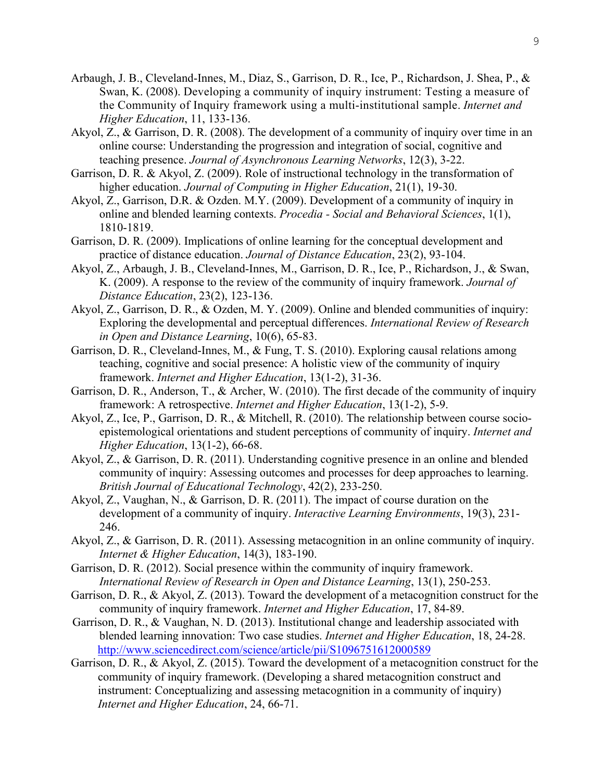- Arbaugh, J. B., Cleveland-Innes, M., Diaz, S., Garrison, D. R., Ice, P., Richardson, J. Shea, P., & Swan, K. (2008). Developing a community of inquiry instrument: Testing a measure of the Community of Inquiry framework using a multi-institutional sample. *Internet and Higher Education*, 11, 133-136.
- Akyol, Z., & Garrison, D. R. (2008). The development of a community of inquiry over time in an online course: Understanding the progression and integration of social, cognitive and teaching presence. *Journal of Asynchronous Learning Networks*, 12(3), 3-22.
- Garrison, D. R. & Akyol, Z. (2009). Role of instructional technology in the transformation of higher education. *Journal of Computing in Higher Education*, 21(1), 19-30.
- Akyol, Z., Garrison, D.R. & Ozden. M.Y. (2009). Development of a community of inquiry in online and blended learning contexts. *Procedia - Social and Behavioral Sciences*, 1(1), 1810-1819.
- Garrison, D. R. (2009). Implications of online learning for the conceptual development and practice of distance education. *Journal of Distance Education*, 23(2), 93-104.
- Akyol, Z., Arbaugh, J. B., Cleveland-Innes, M., Garrison, D. R., Ice, P., Richardson, J., & Swan, K. (2009). A response to the review of the community of inquiry framework. *Journal of Distance Education*, 23(2), 123-136.
- Akyol, Z., Garrison, D. R., & Ozden, M. Y. (2009). Online and blended communities of inquiry: Exploring the developmental and perceptual differences. *International Review of Research in Open and Distance Learning*, 10(6), 65-83.
- Garrison, D. R., Cleveland-Innes, M., & Fung, T. S. (2010). Exploring causal relations among teaching, cognitive and social presence: A holistic view of the community of inquiry framework. *Internet and Higher Education*, 13(1-2), 31-36.
- Garrison, D. R., Anderson, T., & Archer, W. (2010). The first decade of the community of inquiry framework: A retrospective. *Internet and Higher Education*, 13(1-2), 5-9.
- Akyol, Z., Ice, P., Garrison, D. R., & Mitchell, R. (2010). The relationship between course socioepistemological orientations and student perceptions of community of inquiry. *Internet and Higher Education*, 13(1-2), 66-68.
- Akyol, Z., & Garrison, D. R. (2011). Understanding cognitive presence in an online and blended community of inquiry: Assessing outcomes and processes for deep approaches to learning. *British Journal of Educational Technology*, 42(2), 233-250.
- Akyol, Z., Vaughan, N., & Garrison, D. R. (2011). The impact of course duration on the development of a community of inquiry. *Interactive Learning Environments*, 19(3), 231- 246.
- Akyol, Z., & Garrison, D. R. (2011). Assessing metacognition in an online community of inquiry. *Internet & Higher Education*, 14(3), 183-190.
- Garrison, D. R. (2012). Social presence within the community of inquiry framework. *International Review of Research in Open and Distance Learning*, 13(1), 250-253.
- Garrison, D. R., & Akyol, Z. (2013). Toward the development of a metacognition construct for the community of inquiry framework. *Internet and Higher Education*, 17, 84-89.
- Garrison, D. R., & Vaughan, N. D. (2013). Institutional change and leadership associated with blended learning innovation: Two case studies. *Internet and Higher Education*, 18, 24-28. http://www.sciencedirect.com/science/article/pii/S1096751612000589
- Garrison, D. R., & Akyol, Z. (2015). Toward the development of a metacognition construct for the community of inquiry framework. (Developing a shared metacognition construct and instrument: Conceptualizing and assessing metacognition in a community of inquiry) *Internet and Higher Education*, 24, 66-71.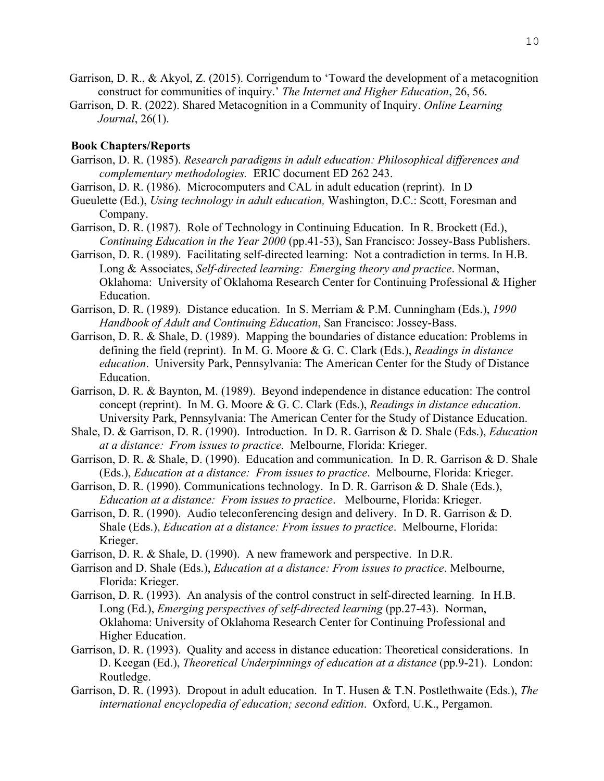- Garrison, D. R., & Akyol, Z. (2015). Corrigendum to 'Toward the development of a metacognition construct for communities of inquiry.' *The Internet and Higher Education*, 26, 56.
- Garrison, D. R. (2022). Shared Metacognition in a Community of Inquiry. *Online Learning Journal*, 26(1).

### **Book Chapters/Reports**

- Garrison, D. R. (1985). *Research paradigms in adult education: Philosophical differences and complementary methodologies.* ERIC document ED 262 243.
- Garrison, D. R. (1986). Microcomputers and CAL in adult education (reprint). In D
- Gueulette (Ed.), *Using technology in adult education,* Washington, D.C.: Scott, Foresman and Company.
- Garrison, D. R. (1987). Role of Technology in Continuing Education. In R. Brockett (Ed.), *Continuing Education in the Year 2000* (pp.41-53), San Francisco: Jossey-Bass Publishers.
- Garrison, D. R. (1989). Facilitating self-directed learning: Not a contradiction in terms. In H.B. Long & Associates, *Self-directed learning: Emerging theory and practice*. Norman, Oklahoma: University of Oklahoma Research Center for Continuing Professional & Higher Education.
- Garrison, D. R. (1989). Distance education. In S. Merriam & P.M. Cunningham (Eds.), *1990 Handbook of Adult and Continuing Education*, San Francisco: Jossey-Bass.
- Garrison, D. R. & Shale, D. (1989). Mapping the boundaries of distance education: Problems in defining the field (reprint). In M. G. Moore & G. C. Clark (Eds.), *Readings in distance education*. University Park, Pennsylvania: The American Center for the Study of Distance Education.
- Garrison, D. R. & Baynton, M. (1989). Beyond independence in distance education: The control concept (reprint). In M. G. Moore & G. C. Clark (Eds.), *Readings in distance education*. University Park, Pennsylvania: The American Center for the Study of Distance Education.
- Shale, D. & Garrison, D. R. (1990). Introduction. In D. R. Garrison & D. Shale (Eds.), *Education at a distance: From issues to practice*. Melbourne, Florida: Krieger.
- Garrison, D. R. & Shale, D. (1990). Education and communication. In D. R. Garrison & D. Shale (Eds.), *Education at a distance: From issues to practice*. Melbourne, Florida: Krieger.
- Garrison, D. R. (1990). Communications technology. In D. R. Garrison & D. Shale (Eds.), *Education at a distance: From issues to practice*. Melbourne, Florida: Krieger.
- Garrison, D. R. (1990). Audio teleconferencing design and delivery. In D. R. Garrison & D. Shale (Eds.), *Education at a distance: From issues to practice*. Melbourne, Florida: Krieger.
- Garrison, D. R. & Shale, D. (1990). A new framework and perspective. In D.R.
- Garrison and D. Shale (Eds.), *Education at a distance: From issues to practice*. Melbourne, Florida: Krieger.
- Garrison, D. R. (1993). An analysis of the control construct in self-directed learning. In H.B. Long (Ed.), *Emerging perspectives of self-directed learning* (pp.27-43). Norman, Oklahoma: University of Oklahoma Research Center for Continuing Professional and Higher Education.
- Garrison, D. R. (1993). Quality and access in distance education: Theoretical considerations. In D. Keegan (Ed.), *Theoretical Underpinnings of education at a distance* (pp.9-21). London: Routledge.
- Garrison, D. R. (1993). Dropout in adult education. In T. Husen & T.N. Postlethwaite (Eds.), *The international encyclopedia of education; second edition*. Oxford, U.K., Pergamon.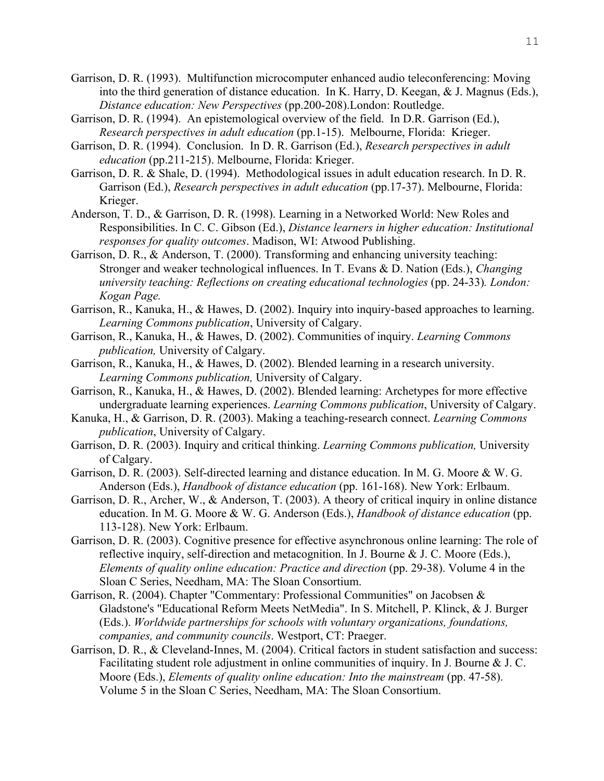- Garrison, D. R. (1993). Multifunction microcomputer enhanced audio teleconferencing: Moving into the third generation of distance education. In K. Harry, D. Keegan, & J. Magnus (Eds.), *Distance education: New Perspectives* (pp.200-208).London: Routledge.
- Garrison, D. R. (1994). An epistemological overview of the field. In D.R. Garrison (Ed.), *Research perspectives in adult education* (pp.1-15). Melbourne, Florida: Krieger.
- Garrison, D. R. (1994).Conclusion. In D. R. Garrison (Ed.), *Research perspectives in adult education* (pp.211-215). Melbourne, Florida: Krieger.
- Garrison, D. R. & Shale, D. (1994). Methodological issues in adult education research. In D. R. Garrison (Ed.), *Research perspectives in adult education* (pp.17-37). Melbourne, Florida: Krieger.
- Anderson, T. D., & Garrison, D. R. (1998). Learning in a Networked World: New Roles and Responsibilities. In C. C. Gibson (Ed.), *Distance learners in higher education: Institutional responses for quality outcomes*. Madison, WI: Atwood Publishing.
- Garrison, D. R., & Anderson, T. (2000). Transforming and enhancing university teaching: Stronger and weaker technological influences. In T. Evans & D. Nation (Eds.), *Changing university teaching: Reflections on creating educational technologies* (pp. 24-33)*. London: Kogan Page.*
- Garrison, R., Kanuka, H., & Hawes, D. (2002). Inquiry into inquiry-based approaches to learning. *Learning Commons publication*, University of Calgary.
- Garrison, R., Kanuka, H., & Hawes, D. (2002). Communities of inquiry. *Learning Commons publication,* University of Calgary.
- Garrison, R., Kanuka, H., & Hawes, D. (2002). Blended learning in a research university. *Learning Commons publication,* University of Calgary.
- Garrison, R., Kanuka, H., & Hawes, D. (2002). Blended learning: Archetypes for more effective undergraduate learning experiences. *Learning Commons publication*, University of Calgary.
- Kanuka, H., & Garrison, D. R. (2003). Making a teaching-research connect. *Learning Commons publication*, University of Calgary.
- Garrison, D. R. (2003). Inquiry and critical thinking. *Learning Commons publication,* University of Calgary.
- Garrison, D. R. (2003). Self-directed learning and distance education. In M. G. Moore & W. G. Anderson (Eds.), *Handbook of distance education* (pp. 161-168). New York: Erlbaum.
- Garrison, D. R., Archer, W., & Anderson, T. (2003). A theory of critical inquiry in online distance education. In M. G. Moore & W. G. Anderson (Eds.), *Handbook of distance education* (pp. 113-128). New York: Erlbaum.
- Garrison, D. R. (2003). Cognitive presence for effective asynchronous online learning: The role of reflective inquiry, self-direction and metacognition. In J. Bourne & J. C. Moore (Eds.), *Elements of quality online education: Practice and direction* (pp. 29-38). Volume 4 in the Sloan C Series, Needham, MA: The Sloan Consortium.
- Garrison, R. (2004). Chapter "Commentary: Professional Communities" on Jacobsen & Gladstone's "Educational Reform Meets NetMedia". In S. Mitchell, P. Klinck, & J. Burger (Eds.). *Worldwide partnerships for schools with voluntary organizations, foundations, companies, and community councils*. Westport, CT: Praeger.
- Garrison, D. R., & Cleveland-Innes, M. (2004). Critical factors in student satisfaction and success: Facilitating student role adjustment in online communities of inquiry. In J. Bourne & J. C. Moore (Eds.), *Elements of quality online education: Into the mainstream* (pp. 47-58). Volume 5 in the Sloan C Series, Needham, MA: The Sloan Consortium.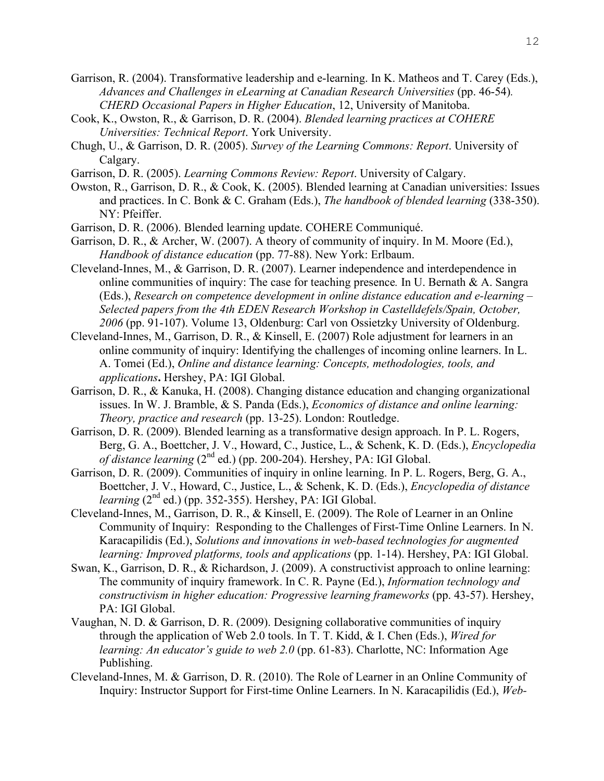- Garrison, R. (2004). Transformative leadership and e-learning. In K. Matheos and T. Carey (Eds.), *Advances and Challenges in eLearning at Canadian Research Universities* (pp. 46-54)*. CHERD Occasional Papers in Higher Education*, 12, University of Manitoba.
- Cook, K., Owston, R., & Garrison, D. R. (2004). *Blended learning practices at COHERE Universities: Technical Report*. York University.
- Chugh, U., & Garrison, D. R. (2005). *Survey of the Learning Commons: Report*. University of Calgary.
- Garrison, D. R. (2005). *Learning Commons Review: Report*. University of Calgary.
- Owston, R., Garrison, D. R., & Cook, K. (2005). Blended learning at Canadian universities: Issues and practices. In C. Bonk & C. Graham (Eds.), *The handbook of blended learning* (338-350). NY: Pfeiffer.
- Garrison, D. R. (2006). Blended learning update. COHERE Communiqué.
- Garrison, D. R., & Archer, W. (2007). A theory of community of inquiry. In M. Moore (Ed.), *Handbook of distance education* (pp. 77-88). New York: Erlbaum.
- Cleveland-Innes, M., & Garrison, D. R. (2007). Learner independence and interdependence in online communities of inquiry: The case for teaching presence*.* In U. Bernath & A. Sangra (Eds.), *Research on competence development in online distance education and e-learning – Selected papers from the 4th EDEN Research Workshop in Castelldefels/Spain, October, 2006* (pp. 91-107). Volume 13, Oldenburg: Carl von Ossietzky University of Oldenburg.
- Cleveland-Innes, M., Garrison, D. R., & Kinsell, E. (2007) Role adjustment for learners in an online community of inquiry: Identifying the challenges of incoming online learners. In L. A. Tomei (Ed.), *Online and distance learning: Concepts, methodologies, tools, and applications***.** Hershey, PA: IGI Global.
- Garrison, D. R., & Kanuka, H. (2008). Changing distance education and changing organizational issues. In W. J. Bramble, & S. Panda (Eds.), *Economics of distance and online learning: Theory, practice and research* (pp. 13-25). London: Routledge.
- Garrison, D. R. (2009). Blended learning as a transformative design approach. In P. L. Rogers, Berg, G. A., Boettcher, J. V., Howard, C., Justice, L., & Schenk, K. D. (Eds.), *Encyclopedia of distance learning* (2<sup>nd</sup> ed.) (pp. 200-204). Hershey, PA: IGI Global.
- Garrison, D. R. (2009). Communities of inquiry in online learning. In P. L. Rogers, Berg, G. A., Boettcher, J. V., Howard, C., Justice, L., & Schenk, K. D. (Eds.), *Encyclopedia of distance learning*  $(2^{nd}$  ed.) (pp. 352-355). Hershey, PA: IGI Global.
- Cleveland-Innes, M., Garrison, D. R., & Kinsell, E. (2009). The Role of Learner in an Online Community of Inquiry: Responding to the Challenges of First-Time Online Learners. In N. Karacapilidis (Ed.), *Solutions and innovations in web-based technologies for augmented learning: Improved platforms, tools and applications* (pp. 1-14). Hershey, PA: IGI Global.
- Swan, K., Garrison, D. R., & Richardson, J. (2009). A constructivist approach to online learning: The community of inquiry framework. In C. R. Payne (Ed.), *Information technology and constructivism in higher education: Progressive learning frameworks* (pp. 43-57). Hershey, PA: IGI Global.
- Vaughan, N. D. & Garrison, D. R. (2009). Designing collaborative communities of inquiry through the application of Web 2.0 tools. In T. T. Kidd, & I. Chen (Eds.), *Wired for learning: An educator's guide to web 2.0* (pp. 61-83). Charlotte, NC: Information Age Publishing.
- Cleveland-Innes, M. & Garrison, D. R. (2010). The Role of Learner in an Online Community of Inquiry: Instructor Support for First-time Online Learners. In N. Karacapilidis (Ed.), *Web-*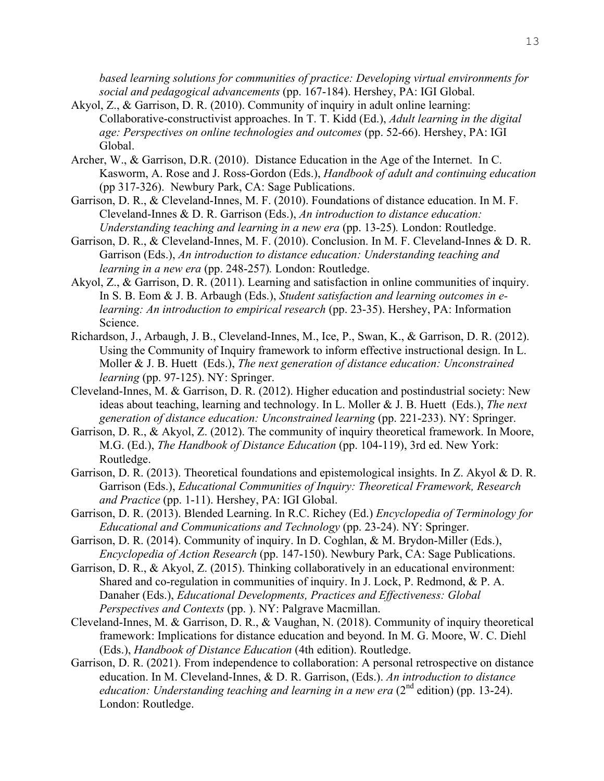*based learning solutions for communities of practice: Developing virtual environments for social and pedagogical advancements* (pp. 167-184). Hershey, PA: IGI Global.

- Akyol, Z., & Garrison, D. R. (2010). Community of inquiry in adult online learning: Collaborative-constructivist approaches. In T. T. Kidd (Ed.), *Adult learning in the digital age: Perspectives on online technologies and outcomes* (pp. 52-66). Hershey, PA: IGI Global.
- Archer, W., & Garrison, D.R. (2010). Distance Education in the Age of the Internet. In C. Kasworm, A. Rose and J. Ross-Gordon (Eds.), *Handbook of adult and continuing education* (pp 317-326). Newbury Park, CA: Sage Publications.
- Garrison, D. R., & Cleveland-Innes, M. F. (2010). Foundations of distance education. In M. F. Cleveland-Innes & D. R. Garrison (Eds.), *An introduction to distance education: Understanding teaching and learning in a new era* (pp. 13-25)*.* London: Routledge.
- Garrison, D. R., & Cleveland-Innes, M. F. (2010). Conclusion. In M. F. Cleveland-Innes & D. R. Garrison (Eds.), *An introduction to distance education: Understanding teaching and learning in a new era* (pp. 248-257)*.* London: Routledge.
- Akyol, Z., & Garrison, D. R. (2011). Learning and satisfaction in online communities of inquiry. In S. B. Eom & J. B. Arbaugh (Eds.), *Student satisfaction and learning outcomes in elearning: An introduction to empirical research* (pp. 23-35). Hershey, PA: Information Science.
- Richardson, J., Arbaugh, J. B., Cleveland-Innes, M., Ice, P., Swan, K., & Garrison, D. R. (2012). Using the Community of Inquiry framework to inform effective instructional design. In L. Moller & J. B. Huett (Eds.), *The next generation of distance education: Unconstrained learning* (pp. 97-125). NY: Springer.
- Cleveland-Innes, M. & Garrison, D. R. (2012). Higher education and postindustrial society: New ideas about teaching, learning and technology. In L. Moller & J. B. Huett (Eds.), *The next generation of distance education: Unconstrained learning* (pp. 221-233). NY: Springer.
- Garrison, D. R., & Akyol, Z. (2012). The community of inquiry theoretical framework. In Moore, M.G. (Ed.), *The Handbook of Distance Education* (pp. 104-119), 3rd ed. New York: Routledge.
- Garrison, D. R. (2013). Theoretical foundations and epistemological insights. In Z. Akyol & D. R. Garrison (Eds.), *Educational Communities of Inquiry: Theoretical Framework, Research and Practice* (pp. 1-11). Hershey, PA: IGI Global.
- Garrison, D. R. (2013). Blended Learning. In R.C. Richey (Ed.) *Encyclopedia of Terminology for Educational and Communications and Technology* (pp. 23-24). NY: Springer.
- Garrison, D. R. (2014). Community of inquiry. In D. Coghlan, & M. Brydon-Miller (Eds.), *Encyclopedia of Action Research* (pp. 147-150). Newbury Park, CA: Sage Publications.
- Garrison, D. R., & Akyol, Z. (2015). Thinking collaboratively in an educational environment: Shared and co-regulation in communities of inquiry. In J. Lock, P. Redmond, & P. A. Danaher (Eds.), *Educational Developments, Practices and Effectiveness: Global Perspectives and Contexts* (pp. ). NY: Palgrave Macmillan.
- Cleveland-Innes, M. & Garrison, D. R., & Vaughan, N. (2018). Community of inquiry theoretical framework: Implications for distance education and beyond. In M. G. Moore, W. C. Diehl (Eds.), *Handbook of Distance Education* (4th edition). Routledge.
- Garrison, D. R. (2021). From independence to collaboration: A personal retrospective on distance education. In M. Cleveland-Innes, & D. R. Garrison, (Eds.). *An introduction to distance education: Understanding teaching and learning in*  $\hat{a}$  *new era* (2<sup>nd</sup> edition) (pp. 13-24). London: Routledge.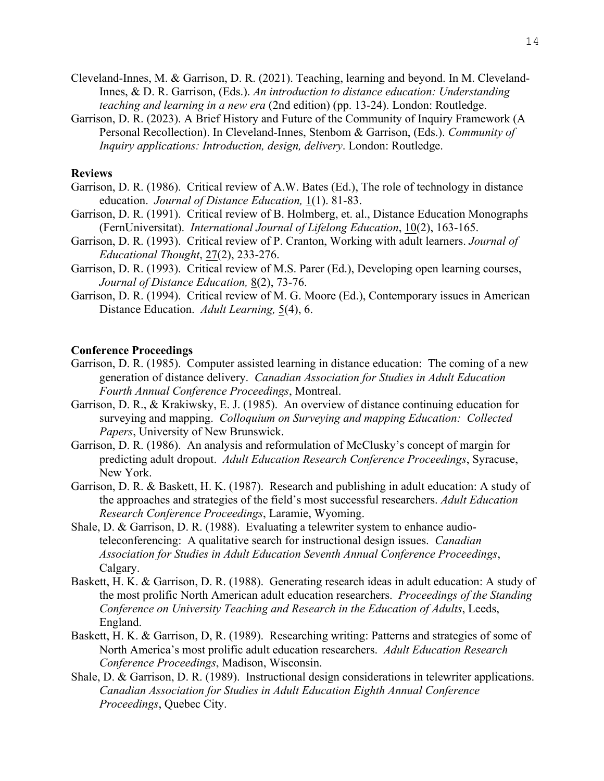- Cleveland-Innes, M. & Garrison, D. R. (2021). Teaching, learning and beyond. In M. Cleveland-Innes, & D. R. Garrison, (Eds.). *An introduction to distance education: Understanding teaching and learning in a new era* (2nd edition) (pp. 13-24). London: Routledge.
- Garrison, D. R. (2023). A Brief History and Future of the Community of Inquiry Framework (A Personal Recollection). In Cleveland-Innes, Stenbom & Garrison, (Eds.). *Community of Inquiry applications: Introduction, design, delivery*. London: Routledge.

#### **Reviews**

- Garrison, D. R. (1986). Critical review of A.W. Bates (Ed.), The role of technology in distance education. *Journal of Distance Education,* 1(1). 81-83.
- Garrison, D. R. (1991). Critical review of B. Holmberg, et. al., Distance Education Monographs (FernUniversitat). *International Journal of Lifelong Education*, 10(2), 163-165.
- Garrison, D. R. (1993).Critical review of P. Cranton, Working with adult learners. *Journal of Educational Thought*, 27(2), 233-276.
- Garrison, D. R. (1993).Critical review of M.S. Parer (Ed.), Developing open learning courses, *Journal of Distance Education,* 8(2), 73-76.
- Garrison, D. R. (1994). Critical review of M. G. Moore (Ed.), Contemporary issues in American Distance Education. *Adult Learning,* 5(4), 6.

#### **Conference Proceedings**

- Garrison, D. R. (1985). Computer assisted learning in distance education: The coming of a new generation of distance delivery. *Canadian Association for Studies in Adult Education Fourth Annual Conference Proceedings*, Montreal.
- Garrison, D. R., & Krakiwsky, E. J. (1985). An overview of distance continuing education for surveying and mapping. *Colloquium on Surveying and mapping Education: Collected Papers*, University of New Brunswick.
- Garrison, D. R. (1986). An analysis and reformulation of McClusky's concept of margin for predicting adult dropout. *Adult Education Research Conference Proceedings*, Syracuse, New York.
- Garrison, D. R. & Baskett, H. K. (1987). Research and publishing in adult education: A study of the approaches and strategies of the field's most successful researchers. *Adult Education Research Conference Proceedings*, Laramie, Wyoming.
- Shale, D. & Garrison, D. R. (1988). Evaluating a telewriter system to enhance audioteleconferencing: A qualitative search for instructional design issues. *Canadian Association for Studies in Adult Education Seventh Annual Conference Proceedings*, Calgary.
- Baskett, H. K. & Garrison, D. R. (1988). Generating research ideas in adult education: A study of the most prolific North American adult education researchers. *Proceedings of the Standing Conference on University Teaching and Research in the Education of Adults*, Leeds, England.
- Baskett, H. K. & Garrison, D, R. (1989). Researching writing: Patterns and strategies of some of North America's most prolific adult education researchers. *Adult Education Research Conference Proceedings*, Madison, Wisconsin.
- Shale, D. & Garrison, D. R. (1989). Instructional design considerations in telewriter applications. *Canadian Association for Studies in Adult Education Eighth Annual Conference Proceedings*, Quebec City.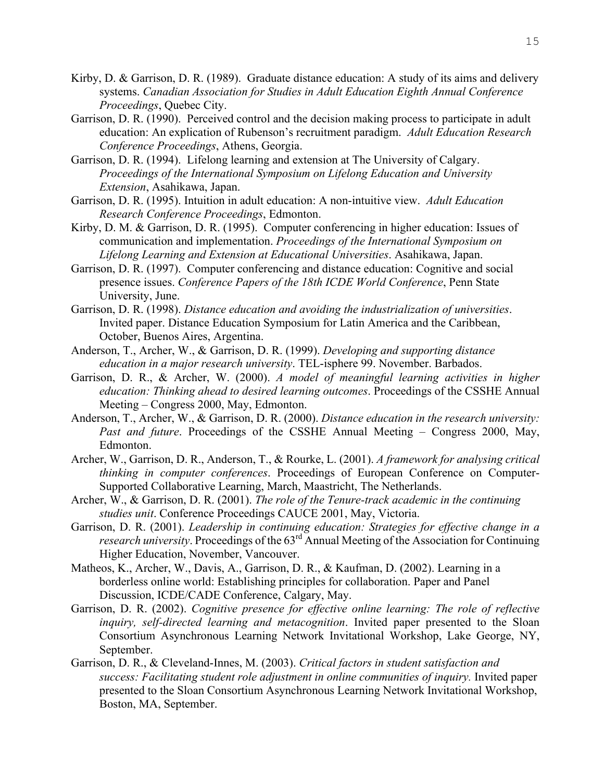- Kirby, D. & Garrison, D. R. (1989). Graduate distance education: A study of its aims and delivery systems. *Canadian Association for Studies in Adult Education Eighth Annual Conference Proceedings*, Quebec City.
- Garrison, D. R. (1990). Perceived control and the decision making process to participate in adult education: An explication of Rubenson's recruitment paradigm. *Adult Education Research Conference Proceedings*, Athens, Georgia.
- Garrison, D. R. (1994). Lifelong learning and extension at The University of Calgary. *Proceedings of the International Symposium on Lifelong Education and University Extension*, Asahikawa, Japan.
- Garrison, D. R. (1995). Intuition in adult education: A non-intuitive view. *Adult Education Research Conference Proceedings*, Edmonton.
- Kirby, D. M. & Garrison, D. R. (1995).Computer conferencing in higher education: Issues of communication and implementation. *Proceedings of the International Symposium on Lifelong Learning and Extension at Educational Universities*. Asahikawa, Japan.
- Garrison, D. R. (1997). Computer conferencing and distance education: Cognitive and social presence issues. *Conference Papers of the 18th ICDE World Conference*, Penn State University, June.
- Garrison, D. R. (1998). *Distance education and avoiding the industrialization of universities*. Invited paper. Distance Education Symposium for Latin America and the Caribbean, October, Buenos Aires, Argentina.
- Anderson, T., Archer, W., & Garrison, D. R. (1999). *Developing and supporting distance education in a major research university*. TEL-isphere 99. November. Barbados.
- Garrison, D. R., & Archer, W. (2000). *A model of meaningful learning activities in higher education: Thinking ahead to desired learning outcomes*. Proceedings of the CSSHE Annual Meeting – Congress 2000, May, Edmonton.
- Anderson, T., Archer, W., & Garrison, D. R. (2000). *Distance education in the research university: Past and future*. Proceedings of the CSSHE Annual Meeting – Congress 2000, May, Edmonton.
- Archer, W., Garrison, D. R., Anderson, T., & Rourke, L. (2001). *A framework for analysing critical thinking in computer conferences*. Proceedings of European Conference on Computer-Supported Collaborative Learning, March, Maastricht, The Netherlands.
- Archer, W., & Garrison, D. R. (2001). *The role of the Tenure-track academic in the continuing studies unit*. Conference Proceedings CAUCE 2001, May, Victoria.
- Garrison, D. R. (2001). *Leadership in continuing education: Strategies for effective change in a research university*. Proceedings of the 63rd Annual Meeting of the Association for Continuing Higher Education, November, Vancouver.
- Matheos, K., Archer, W., Davis, A., Garrison, D. R., & Kaufman, D. (2002). Learning in a borderless online world: Establishing principles for collaboration. Paper and Panel Discussion, ICDE/CADE Conference, Calgary, May.
- Garrison, D. R. (2002). *Cognitive presence for effective online learning: The role of reflective inquiry, self-directed learning and metacognition*. Invited paper presented to the Sloan Consortium Asynchronous Learning Network Invitational Workshop, Lake George, NY, September.
- Garrison, D. R., & Cleveland-Innes, M. (2003). *Critical factors in student satisfaction and success: Facilitating student role adjustment in online communities of inquiry.* Invited paper presented to the Sloan Consortium Asynchronous Learning Network Invitational Workshop, Boston, MA, September.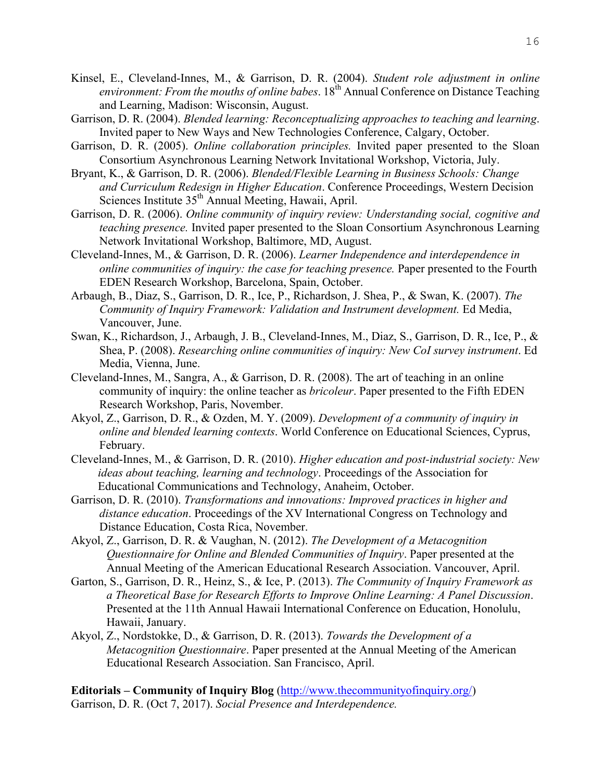- Kinsel, E., Cleveland-Innes, M., & Garrison, D. R. (2004). *Student role adjustment in online environment: From the mouths of online babes.* 18<sup>th</sup> Annual Conference on Distance Teaching and Learning, Madison: Wisconsin, August.
- Garrison, D. R. (2004). *Blended learning: Reconceptualizing approaches to teaching and learning*. Invited paper to New Ways and New Technologies Conference, Calgary, October.
- Garrison, D. R. (2005). *Online collaboration principles.* Invited paper presented to the Sloan Consortium Asynchronous Learning Network Invitational Workshop, Victoria, July.
- Bryant, K., & Garrison, D. R. (2006). *Blended/Flexible Learning in Business Schools: Change and Curriculum Redesign in Higher Education*. Conference Proceedings, Western Decision Sciences Institute 35<sup>th</sup> Annual Meeting, Hawaii, April.
- Garrison, D. R. (2006). *Online community of inquiry review: Understanding social, cognitive and teaching presence.* Invited paper presented to the Sloan Consortium Asynchronous Learning Network Invitational Workshop, Baltimore, MD, August.
- Cleveland-Innes, M., & Garrison, D. R. (2006). *Learner Independence and interdependence in online communities of inquiry: the case for teaching presence.* Paper presented to the Fourth EDEN Research Workshop, Barcelona, Spain, October.
- Arbaugh, B., Diaz, S., Garrison, D. R., Ice, P., Richardson, J. Shea, P., & Swan, K. (2007). *The Community of Inquiry Framework: Validation and Instrument development.* Ed Media, Vancouver, June.
- Swan, K., Richardson, J., Arbaugh, J. B., Cleveland-Innes, M., Diaz, S., Garrison, D. R., Ice, P., & Shea, P. (2008). *Researching online communities of inquiry: New CoI survey instrument*. Ed Media, Vienna, June.
- Cleveland-Innes, M., Sangra, A., & Garrison, D. R. (2008). The art of teaching in an online community of inquiry: the online teacher as *bricoleur*. Paper presented to the Fifth EDEN Research Workshop, Paris, November.
- Akyol, Z., Garrison, D. R., & Ozden, M. Y. (2009). *Development of a community of inquiry in online and blended learning contexts*. World Conference on Educational Sciences, Cyprus, February.
- Cleveland-Innes, M., & Garrison, D. R. (2010). *Higher education and post-industrial society: New ideas about teaching, learning and technology*. Proceedings of the Association for Educational Communications and Technology, Anaheim, October.
- Garrison, D. R. (2010). *Transformations and innovations: Improved practices in higher and distance education*. Proceedings of the XV International Congress on Technology and Distance Education, Costa Rica, November.
- Akyol, Z., Garrison, D. R. & Vaughan, N. (2012). *The Development of a Metacognition Questionnaire for Online and Blended Communities of Inquiry*. Paper presented at the Annual Meeting of the American Educational Research Association. Vancouver, April.
- Garton, S., Garrison, D. R., Heinz, S., & Ice, P. (2013). *The Community of Inquiry Framework as a Theoretical Base for Research Efforts to Improve Online Learning: A Panel Discussion*. Presented at the 11th Annual Hawaii International Conference on Education, Honolulu, Hawaii, January.
- Akyol, Z., Nordstokke, D., & Garrison, D. R. (2013). *Towards the Development of a Metacognition Questionnaire*. Paper presented at the Annual Meeting of the American Educational Research Association. San Francisco, April.

**Editorials – Community of Inquiry Blog** (http://www.thecommunityofinquiry.org/) Garrison, D. R. (Oct 7, 2017). *Social Presence and Interdependence.*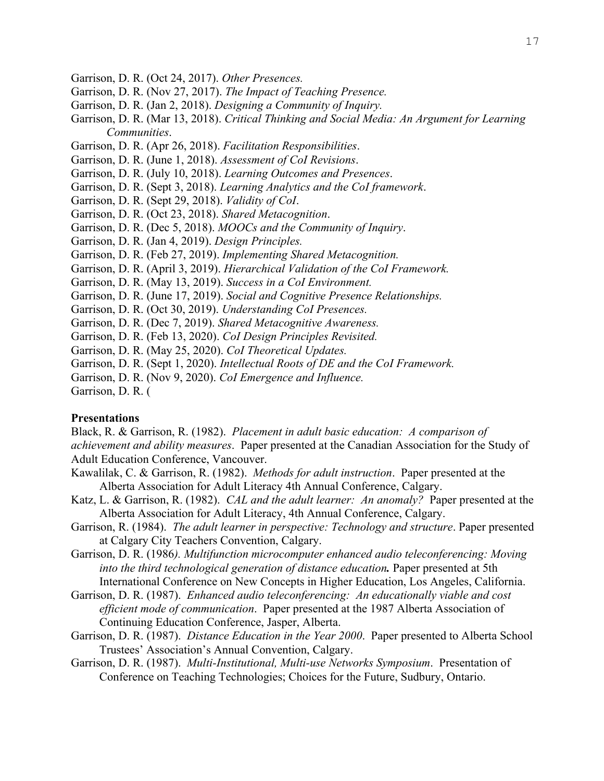- Garrison, D. R. (Oct 24, 2017). *Other Presences.*
- Garrison, D. R. (Nov 27, 2017). *The Impact of Teaching Presence.*
- Garrison, D. R. (Jan 2, 2018). *Designing a Community of Inquiry.*
- Garrison, D. R. (Mar 13, 2018). *Critical Thinking and Social Media: An Argument for Learning Communities*.
- Garrison, D. R. (Apr 26, 2018). *Facilitation Responsibilities*.
- Garrison, D. R. (June 1, 2018). *Assessment of CoI Revisions*.
- Garrison, D. R. (July 10, 2018). *Learning Outcomes and Presences*.
- Garrison, D. R. (Sept 3, 2018). *Learning Analytics and the CoI framework*.
- Garrison, D. R. (Sept 29, 2018). *Validity of CoI*.
- Garrison, D. R. (Oct 23, 2018). *Shared Metacognition*.
- Garrison, D. R. (Dec 5, 2018). *MOOCs and the Community of Inquiry*.
- Garrison, D. R. (Jan 4, 2019). *Design Principles.*
- Garrison, D. R. (Feb 27, 2019). *Implementing Shared Metacognition.*
- Garrison, D. R. (April 3, 2019). *Hierarchical Validation of the CoI Framework.*
- Garrison, D. R. (May 13, 2019). *Success in a CoI Environment.*
- Garrison, D. R. (June 17, 2019). *Social and Cognitive Presence Relationships.*
- Garrison, D. R. (Oct 30, 2019). *Understanding CoI Presences.*
- Garrison, D. R. (Dec 7, 2019). *Shared Metacognitive Awareness.*
- Garrison, D. R. (Feb 13, 2020). *CoI Design Principles Revisited.*
- Garrison, D. R. (May 25, 2020). *CoI Theoretical Updates.*
- Garrison, D. R. (Sept 1, 2020). *Intellectual Roots of DE and the CoI Framework.*
- Garrison, D. R. (Nov 9, 2020). *CoI Emergence and Influence.*
- Garrison, D. R. (

#### **Presentations**

Black, R. & Garrison, R. (1982). *Placement in adult basic education: A comparison of achievement and ability measures*. Paper presented at the Canadian Association for the Study of Adult Education Conference, Vancouver.

- Kawalilak, C. & Garrison, R. (1982). *Methods for adult instruction*. Paper presented at the Alberta Association for Adult Literacy 4th Annual Conference, Calgary.
- Katz, L. & Garrison, R. (1982). *CAL and the adult learner: An anomaly?* Paper presented at the Alberta Association for Adult Literacy, 4th Annual Conference, Calgary.
- Garrison, R. (1984). *The adult learner in perspective: Technology and structure*. Paper presented at Calgary City Teachers Convention, Calgary.
- Garrison, D. R. (1986*). Multifunction microcomputer enhanced audio teleconferencing: Moving into the third technological generation of distance education.* Paper presented at 5th International Conference on New Concepts in Higher Education, Los Angeles, California.
- Garrison, D. R. (1987). *Enhanced audio teleconferencing: An educationally viable and cost efficient mode of communication*. Paper presented at the 1987 Alberta Association of Continuing Education Conference, Jasper, Alberta.
- Garrison, D. R. (1987). *Distance Education in the Year 2000*. Paper presented to Alberta School Trustees' Association's Annual Convention, Calgary.
- Garrison, D. R. (1987). *Multi-Institutional, Multi-use Networks Symposium*. Presentation of Conference on Teaching Technologies; Choices for the Future, Sudbury, Ontario.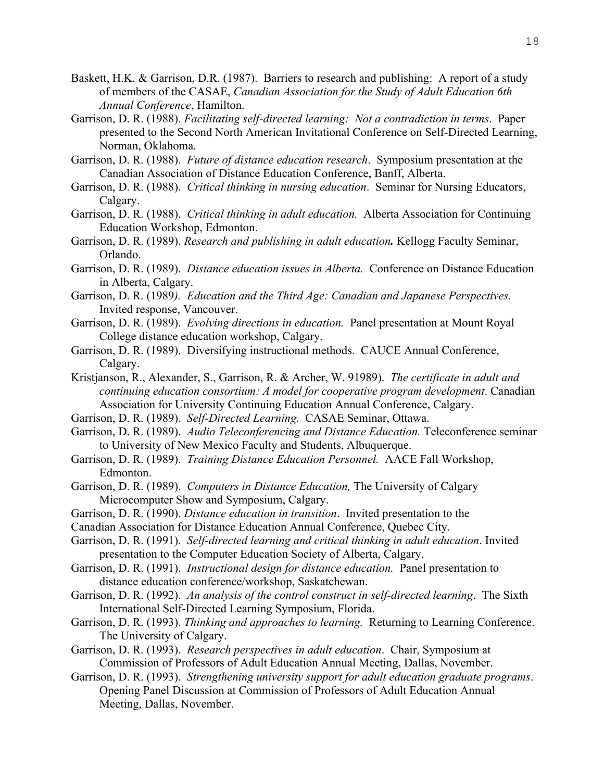- Baskett, H.K. & Garrison, D.R. (1987). Barriers to research and publishing: A report of a study of members of the CASAE, *Canadian Association for the Study of Adult Education 6th Annual Conference*, Hamilton.
- Garrison, D. R. (1988). *Facilitating self-directed learning: Not a contradiction in terms*. Paper presented to the Second North American Invitational Conference on Self-Directed Learning, Norman, Oklahoma.
- Garrison, D. R. (1988). *Future of distance education research*. Symposium presentation at the Canadian Association of Distance Education Conference, Banff, Alberta.
- Garrison, D. R. (1988). *Critical thinking in nursing education*. Seminar for Nursing Educators, Calgary.
- Garrison, D. R. (1988). *Critical thinking in adult education.* Alberta Association for Continuing Education Workshop, Edmonton.
- Garrison, D. R. (1989). *Research and publishing in adult education.* Kellogg Faculty Seminar, Orlando.
- Garrison, D. R. (1989). *Distance education issues in Alberta.* Conference on Distance Education in Alberta, Calgary.
- Garrison, D. R. (1989*). Education and the Third Age: Canadian and Japanese Perspectives.*  Invited response, Vancouver.
- Garrison, D. R. (1989). *Evolving directions in education.* Panel presentation at Mount Royal College distance education workshop, Calgary.
- Garrison, D. R. (1989). Diversifying instructional methods. CAUCE Annual Conference, Calgary.
- Kristjanson, R., Alexander, S., Garrison, R. & Archer, W. 91989). *The certificate in adult and continuing education consortium: A model for cooperative program development*. Canadian Association for University Continuing Education Annual Conference, Calgary.
- Garrison, D. R. (1989). *Self-Directed Learning.* CASAE Seminar, Ottawa.
- Garrison, D. R. (1989). *Audio Teleconferencing and Distance Education.* Teleconference seminar to University of New Mexico Faculty and Students, Albuquerque.
- Garrison, D. R. (1989). *Training Distance Education Personnel.* AACE Fall Workshop, Edmonton.
- Garrison, D. R. (1989). *Computers in Distance Education,* The University of Calgary Microcomputer Show and Symposium, Calgary.
- Garrison, D. R. (1990). *Distance education in transition*. Invited presentation to the
- Canadian Association for Distance Education Annual Conference, Quebec City.
- Garrison, D. R. (1991). *Self-directed learning and critical thinking in adult education*. Invited presentation to the Computer Education Society of Alberta, Calgary.
- Garrison, D. R. (1991). *Instructional design for distance education.* Panel presentation to distance education conference/workshop, Saskatchewan.
- Garrison, D. R. (1992). *An analysis of the control construct in self-directed learning*. The Sixth International Self-Directed Learning Symposium, Florida.
- Garrison, D. R. (1993). *Thinking and approaches to learning.* Returning to Learning Conference. The University of Calgary.
- Garrison, D. R. (1993). *Research perspectives in adult education*. Chair, Symposium at Commission of Professors of Adult Education Annual Meeting, Dallas, November.
- Garrison, D. R. (1993). *Strengthening university support for adult education graduate programs*. Opening Panel Discussion at Commission of Professors of Adult Education Annual Meeting, Dallas, November.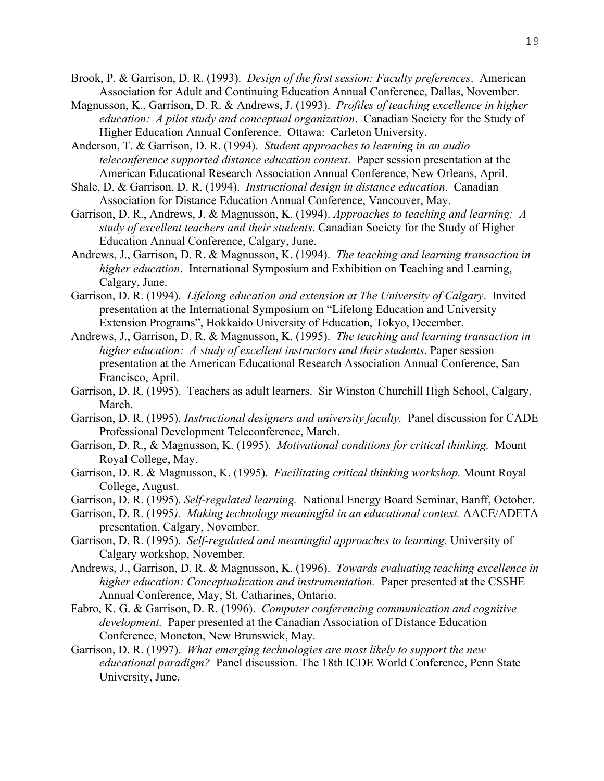- Brook, P. & Garrison, D. R. (1993). *Design of the first session: Faculty preferences*. American Association for Adult and Continuing Education Annual Conference, Dallas, November.
- Magnusson, K., Garrison, D. R. & Andrews, J. (1993). *Profiles of teaching excellence in higher education: A pilot study and conceptual organization*. Canadian Society for the Study of Higher Education Annual Conference. Ottawa: Carleton University.
- Anderson, T. & Garrison, D. R. (1994). *Student approaches to learning in an audio teleconference supported distance education context*. Paper session presentation at the American Educational Research Association Annual Conference, New Orleans, April.
- Shale, D. & Garrison, D. R. (1994). *Instructional design in distance education*. Canadian Association for Distance Education Annual Conference, Vancouver, May.
- Garrison, D. R., Andrews, J. & Magnusson, K. (1994). *Approaches to teaching and learning: A study of excellent teachers and their students*. Canadian Society for the Study of Higher Education Annual Conference, Calgary, June.
- Andrews, J., Garrison, D. R. & Magnusson, K. (1994). *The teaching and learning transaction in higher education*. International Symposium and Exhibition on Teaching and Learning, Calgary, June.
- Garrison, D. R. (1994). *Lifelong education and extension at The University of Calgary*. Invited presentation at the International Symposium on "Lifelong Education and University Extension Programs", Hokkaido University of Education, Tokyo, December.
- Andrews, J., Garrison, D. R. & Magnusson, K. (1995). *The teaching and learning transaction in higher education: A study of excellent instructors and their students*. Paper session presentation at the American Educational Research Association Annual Conference, San Francisco, April.
- Garrison, D. R. (1995). Teachers as adult learners. Sir Winston Churchill High School, Calgary, March.
- Garrison, D. R. (1995). *Instructional designers and university faculty.* Panel discussion for CADE Professional Development Teleconference, March.
- Garrison, D. R., & Magnusson, K. (1995). *Motivational conditions for critical thinking.* Mount Royal College, May.
- Garrison, D. R. & Magnusson, K. (1995). *Facilitating critical thinking workshop.* Mount Royal College, August.
- Garrison, D. R. (1995). *Self-regulated learning.* National Energy Board Seminar, Banff, October.
- Garrison, D. R. (1995*). Making technology meaningful in an educational context.* AACE/ADETA presentation, Calgary, November.
- Garrison, D. R. (1995). *Self-regulated and meaningful approaches to learning.* University of Calgary workshop, November.
- Andrews, J., Garrison, D. R. & Magnusson, K. (1996). *Towards evaluating teaching excellence in higher education: Conceptualization and instrumentation.* Paper presented at the CSSHE Annual Conference, May, St. Catharines, Ontario.
- Fabro, K. G. & Garrison, D. R. (1996). *Computer conferencing communication and cognitive development.* Paper presented at the Canadian Association of Distance Education Conference, Moncton, New Brunswick, May.
- Garrison, D. R. (1997). *What emerging technologies are most likely to support the new educational paradigm?* Panel discussion. The 18th ICDE World Conference, Penn State University, June.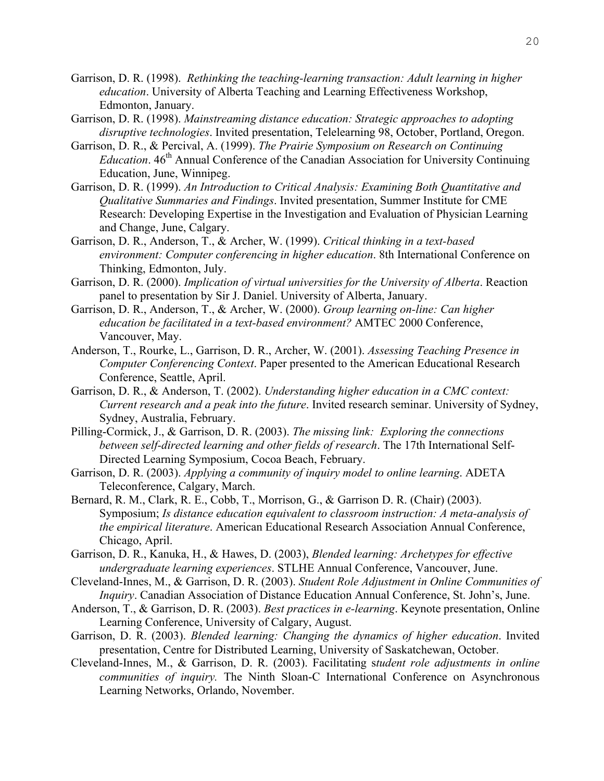- Garrison, D. R. (1998). *Rethinking the teaching-learning transaction: Adult learning in higher education*. University of Alberta Teaching and Learning Effectiveness Workshop, Edmonton, January.
- Garrison, D. R. (1998). *Mainstreaming distance education: Strategic approaches to adopting disruptive technologies*. Invited presentation, Telelearning 98, October, Portland, Oregon.
- Garrison, D. R., & Percival, A. (1999). *The Prairie Symposium on Research on Continuing Education*. 46<sup>th</sup> Annual Conference of the Canadian Association for University Continuing Education, June, Winnipeg.
- Garrison, D. R. (1999). *An Introduction to Critical Analysis: Examining Both Quantitative and Qualitative Summaries and Findings*. Invited presentation, Summer Institute for CME Research: Developing Expertise in the Investigation and Evaluation of Physician Learning and Change, June, Calgary.
- Garrison, D. R., Anderson, T., & Archer, W. (1999). *Critical thinking in a text-based environment: Computer conferencing in higher education*. 8th International Conference on Thinking, Edmonton, July.
- Garrison, D. R. (2000). *Implication of virtual universities for the University of Alberta*. Reaction panel to presentation by Sir J. Daniel. University of Alberta, January.
- Garrison, D. R., Anderson, T., & Archer, W. (2000). *Group learning on-line: Can higher education be facilitated in a text-based environment?* AMTEC 2000 Conference, Vancouver, May.
- Anderson, T., Rourke, L., Garrison, D. R., Archer, W. (2001). *Assessing Teaching Presence in Computer Conferencing Context*. Paper presented to the American Educational Research Conference, Seattle, April.
- Garrison, D. R., & Anderson, T. (2002). *Understanding higher education in a CMC context: Current research and a peak into the future*. Invited research seminar. University of Sydney, Sydney, Australia, February.
- Pilling-Cormick, J., & Garrison, D. R. (2003). *The missing link: Exploring the connections between self-directed learning and other fields of research*. The 17th International Self-Directed Learning Symposium, Cocoa Beach, February.
- Garrison, D. R. (2003). *Applying a community of inquiry model to online learning*. ADETA Teleconference, Calgary, March.
- Bernard, R. M., Clark, R. E., Cobb, T., Morrison, G., & Garrison D. R. (Chair) (2003). Symposium; *Is distance education equivalent to classroom instruction: A meta-analysis of the empirical literature*. American Educational Research Association Annual Conference, Chicago, April.
- Garrison, D. R., Kanuka, H., & Hawes, D. (2003), *Blended learning: Archetypes for effective undergraduate learning experiences*. STLHE Annual Conference, Vancouver, June.
- Cleveland-Innes, M., & Garrison, D. R. (2003). *Student Role Adjustment in Online Communities of Inquiry*. Canadian Association of Distance Education Annual Conference, St. John's, June.
- Anderson, T., & Garrison, D. R. (2003). *Best practices in e-learning*. Keynote presentation, Online Learning Conference, University of Calgary, August.
- Garrison, D. R. (2003). *Blended learning: Changing the dynamics of higher education*. Invited presentation, Centre for Distributed Learning, University of Saskatchewan, October.
- Cleveland-Innes, M., & Garrison, D. R. (2003). Facilitating s*tudent role adjustments in online communities of inquiry.* The Ninth Sloan-C International Conference on Asynchronous Learning Networks, Orlando, November.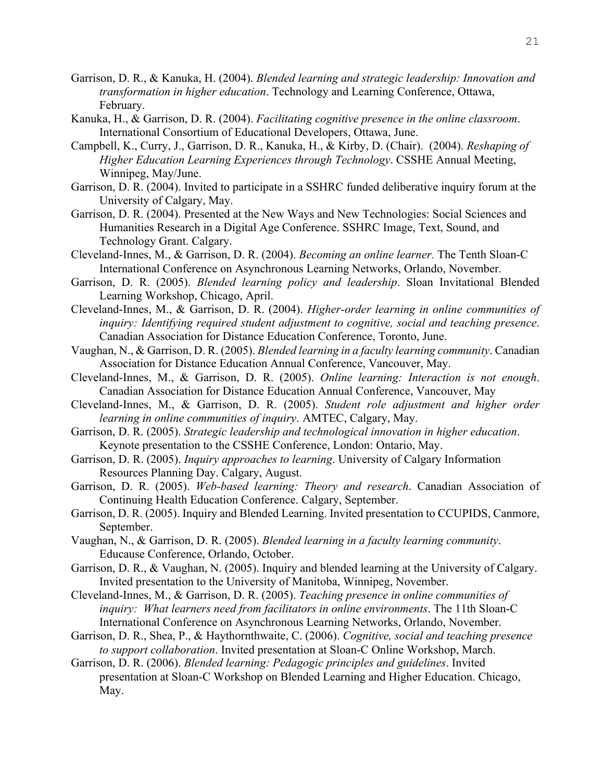- Garrison, D. R., & Kanuka, H. (2004). *Blended learning and strategic leadership: Innovation and transformation in higher education*. Technology and Learning Conference, Ottawa, February.
- Kanuka, H., & Garrison, D. R. (2004). *Facilitating cognitive presence in the online classroom*. International Consortium of Educational Developers, Ottawa, June.
- Campbell, K., Curry, J., Garrison, D. R., Kanuka, H., & Kirby, D. (Chair). (2004). *Reshaping of Higher Education Learning Experiences through Technology*. CSSHE Annual Meeting, Winnipeg, May/June.
- Garrison, D. R. (2004). Invited to participate in a SSHRC funded deliberative inquiry forum at the University of Calgary, May.
- Garrison, D. R. (2004). Presented at the New Ways and New Technologies: Social Sciences and Humanities Research in a Digital Age Conference. SSHRC Image, Text, Sound, and Technology Grant. Calgary.
- Cleveland-Innes, M., & Garrison, D. R. (2004). *Becoming an online learner.* The Tenth Sloan-C International Conference on Asynchronous Learning Networks, Orlando, November.
- Garrison, D. R. (2005). *Blended learning policy and leadership*. Sloan Invitational Blended Learning Workshop, Chicago, April.
- Cleveland-Innes, M., & Garrison, D. R. (2004). *Higher-order learning in online communities of inquiry: Identifying required student adjustment to cognitive, social and teaching presence*. Canadian Association for Distance Education Conference, Toronto, June.
- Vaughan, N., & Garrison, D. R. (2005). *Blended learning in a faculty learning community*. Canadian Association for Distance Education Annual Conference, Vancouver, May.
- Cleveland-Innes, M., & Garrison, D. R. (2005). *Online learning: Interaction is not enough*. Canadian Association for Distance Education Annual Conference, Vancouver, May
- Cleveland-Innes, M., & Garrison, D. R. (2005). *Student role adjustment and higher order learning in online communities of inquiry*. AMTEC, Calgary, May.
- Garrison, D. R. (2005). *Strategic leadership and technological innovation in higher education*. Keynote presentation to the CSSHE Conference, London: Ontario, May.
- Garrison, D. R. (2005). *Inquiry approaches to learning*. University of Calgary Information Resources Planning Day. Calgary, August.
- Garrison, D. R. (2005). *Web-based learning: Theory and research*. Canadian Association of Continuing Health Education Conference. Calgary, September.
- Garrison, D. R. (2005). Inquiry and Blended Learning. Invited presentation to CCUPIDS, Canmore, September.
- Vaughan, N., & Garrison, D. R. (2005). *Blended learning in a faculty learning community*. Educause Conference, Orlando, October.
- Garrison, D. R., & Vaughan, N. (2005). Inquiry and blended learning at the University of Calgary. Invited presentation to the University of Manitoba, Winnipeg, November.
- Cleveland-Innes, M., & Garrison, D. R. (2005). *Teaching presence in online communities of inquiry: What learners need from facilitators in online environments*. The 11th Sloan-C International Conference on Asynchronous Learning Networks, Orlando, November.
- Garrison, D. R., Shea, P., & Haythornthwaite, C. (2006). *Cognitive, social and teaching presence to support collaboration*. Invited presentation at Sloan-C Online Workshop, March.
- Garrison, D. R. (2006). *Blended learning: Pedagogic principles and guidelines*. Invited presentation at Sloan-C Workshop on Blended Learning and Higher Education. Chicago, May.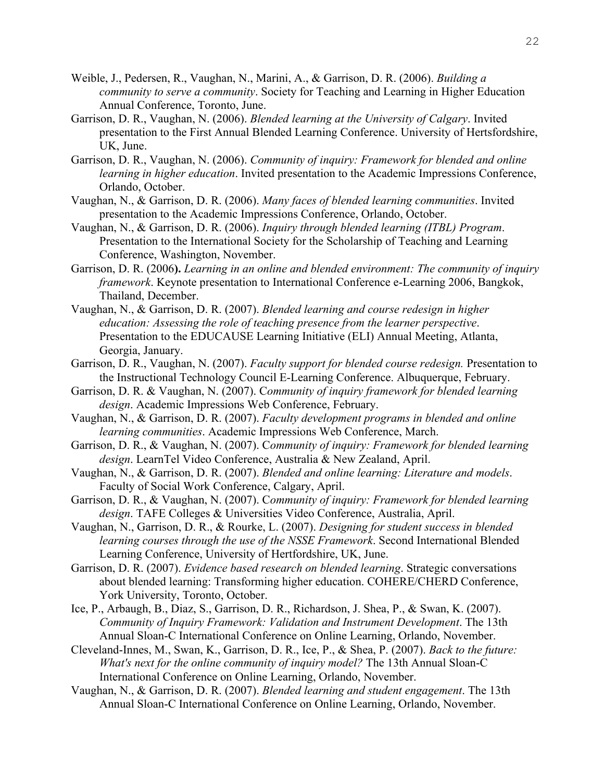- Weible, J., Pedersen, R., Vaughan, N., Marini, A., & Garrison, D. R. (2006). *Building a community to serve a community*. Society for Teaching and Learning in Higher Education Annual Conference, Toronto, June.
- Garrison, D. R., Vaughan, N. (2006). *Blended learning at the University of Calgary*. Invited presentation to the First Annual Blended Learning Conference. University of Hertsfordshire, UK, June.
- Garrison, D. R., Vaughan, N. (2006). *Community of inquiry: Framework for blended and online learning in higher education*. Invited presentation to the Academic Impressions Conference, Orlando, October.
- Vaughan, N., & Garrison, D. R. (2006). *Many faces of blended learning communities*. Invited presentation to the Academic Impressions Conference, Orlando, October.
- Vaughan, N., & Garrison, D. R. (2006). *Inquiry through blended learning (ITBL) Program*. Presentation to the International Society for the Scholarship of Teaching and Learning Conference, Washington, November.
- Garrison, D. R. (2006**).** *Learning in an online and blended environment: The community of inquiry framework*. Keynote presentation to International Conference e-Learning 2006, Bangkok, Thailand, December.
- Vaughan, N., & Garrison, D. R. (2007). *Blended learning and course redesign in higher education: Assessing the role of teaching presence from the learner perspective*. Presentation to the EDUCAUSE Learning Initiative (ELI) Annual Meeting, Atlanta, Georgia, January.
- Garrison, D. R., Vaughan, N. (2007). *Faculty support for blended course redesign.* Presentation to the Instructional Technology Council E-Learning Conference. Albuquerque, February.
- Garrison, D. R. & Vaughan, N. (2007). C*ommunity of inquiry framework for blended learning design*. Academic Impressions Web Conference, February.
- Vaughan, N., & Garrison, D. R. (2007). *Faculty development programs in blended and online learning communities*. Academic Impressions Web Conference, March.
- Garrison, D. R., & Vaughan, N. (2007). C*ommunity of inquiry: Framework for blended learning design*. LearnTel Video Conference, Australia & New Zealand, April.
- Vaughan, N., & Garrison, D. R. (2007). *Blended and online learning: Literature and models*. Faculty of Social Work Conference, Calgary, April.
- Garrison, D. R., & Vaughan, N. (2007). C*ommunity of inquiry: Framework for blended learning design*. TAFE Colleges & Universities Video Conference, Australia, April.
- Vaughan, N., Garrison, D. R., & Rourke, L. (2007). *Designing for student success in blended learning courses through the use of the NSSE Framework*. Second International Blended Learning Conference, University of Hertfordshire, UK, June.
- Garrison, D. R. (2007). *Evidence based research on blended learning*. Strategic conversations about blended learning: Transforming higher education. COHERE/CHERD Conference, York University, Toronto, October.
- Ice, P., Arbaugh, B., Diaz, S., Garrison, D. R., Richardson, J. Shea, P., & Swan, K. (2007). *Community of Inquiry Framework: Validation and Instrument Development*. The 13th Annual Sloan-C International Conference on Online Learning, Orlando, November.
- Cleveland-Innes, M., Swan, K., Garrison, D. R., Ice, P., & Shea, P. (2007). *Back to the future: What's next for the online community of inquiry model?* The 13th Annual Sloan-C International Conference on Online Learning, Orlando, November.
- Vaughan, N., & Garrison, D. R. (2007). *Blended learning and student engagement*. The 13th Annual Sloan-C International Conference on Online Learning, Orlando, November.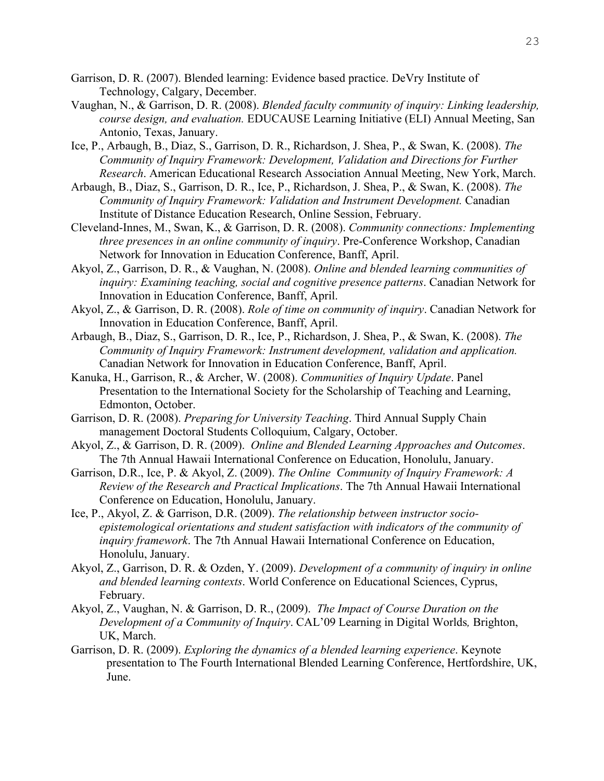- Garrison, D. R. (2007). Blended learning: Evidence based practice. DeVry Institute of Technology, Calgary, December.
- Vaughan, N., & Garrison, D. R. (2008). *Blended faculty community of inquiry: Linking leadership, course design, and evaluation.* EDUCAUSE Learning Initiative (ELI) Annual Meeting, San Antonio, Texas, January.
- Ice, P., Arbaugh, B., Diaz, S., Garrison, D. R., Richardson, J. Shea, P., & Swan, K. (2008). *The Community of Inquiry Framework: Development, Validation and Directions for Further Research*. American Educational Research Association Annual Meeting, New York, March.
- Arbaugh, B., Diaz, S., Garrison, D. R., Ice, P., Richardson, J. Shea, P., & Swan, K. (2008). *The Community of Inquiry Framework: Validation and Instrument Development.* Canadian Institute of Distance Education Research, Online Session, February.
- Cleveland-Innes, M., Swan, K., & Garrison, D. R. (2008). *Community connections: Implementing three presences in an online community of inquiry*. Pre-Conference Workshop, Canadian Network for Innovation in Education Conference, Banff, April.
- Akyol, Z., Garrison, D. R., & Vaughan, N. (2008). *Online and blended learning communities of inquiry: Examining teaching, social and cognitive presence patterns*. Canadian Network for Innovation in Education Conference, Banff, April.
- Akyol, Z., & Garrison, D. R. (2008). *Role of time on community of inquiry*. Canadian Network for Innovation in Education Conference, Banff, April.
- Arbaugh, B., Diaz, S., Garrison, D. R., Ice, P., Richardson, J. Shea, P., & Swan, K. (2008). *The Community of Inquiry Framework: Instrument development, validation and application.*  Canadian Network for Innovation in Education Conference, Banff, April.
- Kanuka, H., Garrison, R., & Archer, W. (2008). *Communities of Inquiry Update*. Panel Presentation to the International Society for the Scholarship of Teaching and Learning, Edmonton, October.
- Garrison, D. R. (2008). *Preparing for University Teaching*. Third Annual Supply Chain management Doctoral Students Colloquium, Calgary, October.
- Akyol, Z., & Garrison, D. R. (2009). *Online and Blended Learning Approaches and Outcomes*. The 7th Annual Hawaii International Conference on Education, Honolulu, January.
- Garrison, D.R., Ice, P. & Akyol, Z. (2009). *The Online Community of Inquiry Framework: A Review of the Research and Practical Implications*. The 7th Annual Hawaii International Conference on Education, Honolulu, January.
- Ice, P., Akyol, Z. & Garrison, D.R. (2009). *The relationship between instructor socioepistemological orientations and student satisfaction with indicators of the community of inquiry framework*. The 7th Annual Hawaii International Conference on Education, Honolulu, January.
- Akyol, Z., Garrison, D. R. & Ozden, Y. (2009). *Development of a community of inquiry in online and blended learning contexts*. World Conference on Educational Sciences, Cyprus, February.
- Akyol, Z., Vaughan, N. & Garrison, D. R., (2009). *The Impact of Course Duration on the Development of a Community of Inquiry*. CAL'09 Learning in Digital Worlds*,* Brighton, UK, March.
- Garrison, D. R. (2009). *Exploring the dynamics of a blended learning experience*. Keynote presentation to The Fourth International Blended Learning Conference, Hertfordshire, UK, June.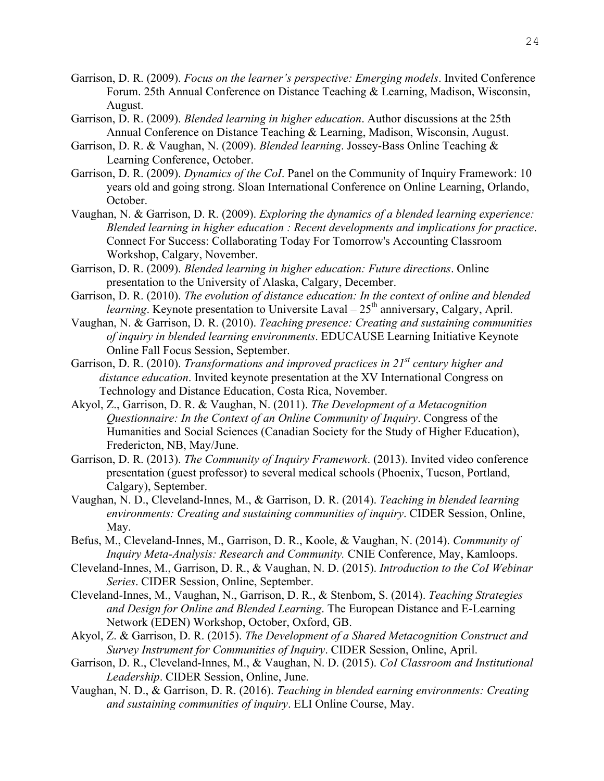- Garrison, D. R. (2009). *Focus on the learner's perspective: Emerging models*. Invited Conference Forum. 25th Annual Conference on Distance Teaching & Learning, Madison, Wisconsin, August.
- Garrison, D. R. (2009). *Blended learning in higher education*. Author discussions at the 25th Annual Conference on Distance Teaching & Learning, Madison, Wisconsin, August.
- Garrison, D. R. & Vaughan, N. (2009). *Blended learning*. Jossey-Bass Online Teaching & Learning Conference, October.
- Garrison, D. R. (2009). *Dynamics of the CoI*. Panel on the Community of Inquiry Framework: 10 years old and going strong. Sloan International Conference on Online Learning, Orlando, October.
- Vaughan, N. & Garrison, D. R. (2009). *Exploring the dynamics of a blended learning experience: Blended learning in higher education : Recent developments and implications for practice*. Connect For Success: Collaborating Today For Tomorrow's Accounting Classroom Workshop, Calgary, November.
- Garrison, D. R. (2009). *Blended learning in higher education: Future directions*. Online presentation to the University of Alaska, Calgary, December.
- Garrison, D. R. (2010). *The evolution of distance education: In the context of online and blended learning*. Keynote presentation to Universite Laval –  $25<sup>th</sup>$  anniversary, Calgary, April.
- Vaughan, N. & Garrison, D. R. (2010). *Teaching presence: Creating and sustaining communities of inquiry in blended learning environments*. EDUCAUSE Learning Initiative Keynote Online Fall Focus Session, September.
- Garrison, D. R. (2010). *Transformations and improved practices in 21st century higher and distance education*. Invited keynote presentation at the XV International Congress on Technology and Distance Education, Costa Rica, November.
- Akyol, Z., Garrison, D. R. & Vaughan, N. (2011). *The Development of a Metacognition Questionnaire: In the Context of an Online Community of Inquiry*. Congress of the Humanities and Social Sciences (Canadian Society for the Study of Higher Education), Fredericton, NB, May/June.
- Garrison, D. R. (2013). *The Community of Inquiry Framework*. (2013). Invited video conference presentation (guest professor) to several medical schools (Phoenix, Tucson, Portland, Calgary), September.
- Vaughan, N. D., Cleveland-Innes, M., & Garrison, D. R. (2014). *Teaching in blended learning environments: Creating and sustaining communities of inquiry*. CIDER Session, Online, May.
- Befus, M., Cleveland-Innes, M., Garrison, D. R., Koole, & Vaughan, N. (2014). *Community of Inquiry Meta-Analysis: Research and Community.* CNIE Conference, May, Kamloops.
- Cleveland-Innes, M., Garrison, D. R., & Vaughan, N. D. (2015). *Introduction to the CoI Webinar Series*. CIDER Session, Online, September.
- Cleveland-Innes, M., Vaughan, N., Garrison, D. R., & Stenbom, S. (2014). *Teaching Strategies and Design for Online and Blended Learning*. The European Distance and E-Learning Network (EDEN) Workshop, October, Oxford, GB.
- Akyol, Z. & Garrison, D. R. (2015). *The Development of a Shared Metacognition Construct and Survey Instrument for Communities of Inquiry*. CIDER Session, Online, April.
- Garrison, D. R., Cleveland-Innes, M., & Vaughan, N. D. (2015). *CoI Classroom and Institutional Leadership*. CIDER Session, Online, June.
- Vaughan, N. D., & Garrison, D. R. (2016). *Teaching in blended earning environments: Creating and sustaining communities of inquiry*. ELI Online Course, May.